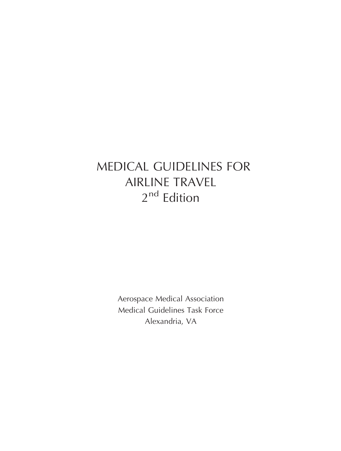# MEDICAL GUIDELINES FOR AIRLINE TRAVEL 2<sup>nd</sup> Edition

Aerospace Medical Association Medical Guidelines Task Force Alexandria, VA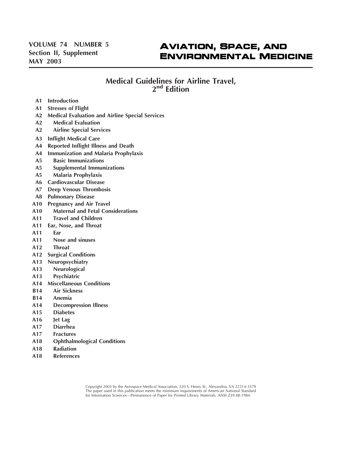# **AVIATION, SPACE, AND ENVIRONMENTAL MEDICINE**

### **Medical Guidelines for Airline Travel, 2nd Edition**

- **A1 Introduction**
- **A1 Stresses of Flight**
- **A2 Medical Evaluation and Airline Special Services**
- **A2 Medical Evaluation**
- **A2 Airline Special Services**
- **A3 Inflight Medical Care**
- **A4 Reported Inflight Illness and Death**
- **A4 Immunization and Malaria Prophylaxis**
- **A5 Basic Immunizations**
- **A5 Supplemental Immunizations**
- **A5 Malaria Prophylaxis**
- **A6 Cardiovascular Disease**
- **A7 Deep Venous Thrombosis**
- **A8 Pulmonary Disease**
- **A10 Pregnancy and Air Travel**
- **A10 Maternal and Fetal Considerations**
- **A11 Travel and Children**
- **A11 Ear, Nose, and Throat**
- **A11 Ear**
- **A11 Nose and sinuses**
- **A12 Throat**
- **A12 Surgical Conditions**
- **A13 Neuropsychiatry**
- **A13 Neurological**
- **A13 Psychiatric**
- **A14 Miscellaneous Conditions**
- **B14 Air Sickness**
- **B14 Anemia**
- **A14 Decompression Illness**
- **A15 Diabetes**
- **A16 Jet Lag**
- **A17 Diarrhea**
- **A17 Fractures**
- **A18 Ophthalmological Conditions**
- **A18 Radiation**
- **A18 References**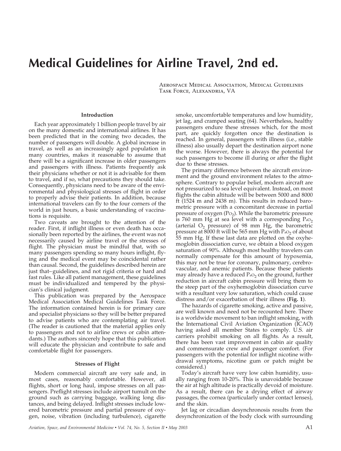# **Medical Guidelines for Airline Travel, 2nd ed.**

Aerospace Medical Association, Medical Guidelines Task Force, Alexandria, VA

#### **Introduction**

Each year approximately 1 billion people travel by air on the many domestic and international airlines. It has been predicted that in the coming two decades, the number of passengers will double. A global increase in travel, as well as an increasingly aged population in many countries, makes it reasonable to assume that there will be a significant increase in older passengers and passengers with illness. Patients frequently ask their physicians whether or not it is advisable for them to travel, and if so, what precautions they should take. Consequently, physicians need to be aware of the environmental and physiological stresses of flight in order to properly advise their patients. In addition, because international travelers can fly to the four corners of the world in just hours, a basic understanding of vaccinations is requisite.

Two caveats are brought to the attention of the reader. First, if inflight illness or even death has occasionally been reported by the airlines, the event was not necessarily caused by airline travel or the stresses of flight. The physician must be mindful that, with so many passengers spending so many hours inflight, flying and the medical event may be coincidental rather than causal. Second, the guidelines described herein are just that–guidelines, and not rigid criteria or hard and fast rules. Like all patient management, these guidelines must be individualized and tempered by the physician's clinical judgment.

This publication was prepared by the Aerospace Medical Association Medical Guidelines Task Force. The information contained herein is for primary care and specialist physicians so they will be better prepared to advise patients who are contemplating air travel. (The reader is cautioned that the material applies only to passengers and not to airline crews or cabin attendants.) The authors sincerely hope that this publication will educate the physician and contribute to safe and comfortable flight for passengers.

#### **Stresses of Flight**

Modern commercial aircraft are very safe and, in most cases, reasonably comfortable. However, all flights, short or long haul, impose stresses on all passengers. Preflight stresses include airport tumult on the ground such as carrying baggage, walking long distances, and being delayed. Inflight stresses include lowered barometric pressure and partial pressure of oxygen, noise, vibration (including turbulence), cigarette smoke, uncomfortable temperatures and low humidity, jet lag, and cramped seating (64). Nevertheless, healthy passengers endure these stresses which, for the most part, are quickly forgotten once the destination is reached. In general, passengers with illness (i.e., stable illness) also usually depart the destination airport none the worse. However, there is always the potential for such passengers to become ill during or after the flight due to these stresses.

The primary difference between the aircraft environment and the ground environment relates to the atmosphere. Contrary to popular belief, modern aircraft are not pressurized to sea level equivalent. Instead, on most flights the cabin altitude will be between 5000 and 8000 ft (1524 m and 2438 m). This results in reduced barometric pressure with a concomitant decrease in partial pressure of oxygen  $(Po<sub>2</sub>)$ . While the barometric pressure is 760 mm Hg at sea level with a corresponding  $PaO<sub>2</sub>$ (arterial  $O_2$  pressure) of 98 mm Hg, the barometric pressure at 8000 ft will be 565 mm Hg with  $P_{aO_2}$  of about 55 mm Hg. If these last data are plotted on the oxyhemoglobin dissociation curve, we obtain a blood oxygen saturation of 90%. Although most healthy travelers can normally compensate for this amount of hypoxemia, this may not be true for coronary, pulmonary, cerebrovascular, and anemic patients. Because these patients may already have a reduced  $P_{aO_2}$  on the ground, further reduction in aircraft cabin pressure will bring them to the steep part of the oxyhemoglobin dissociation curve with a resultant very low saturation, which could cause distress and/or exacerbation of their illness (**Fig. 1**).

The hazards of cigarette smoking, active and passive, are well known and need not be recounted here. There is a worldwide movement to ban inflight smoking, with the International Civil Aviation Organization (ICAO) having asked all member States to comply. U.S. air carriers prohibit smoking on all flights. As a result, there has been vast improvement in cabin air quality and commensurate crew and passenger comfort. (For passengers with the potential for inflight nicotine withdrawal symptoms, nicotine gum or patch might be considered.)

Today's aircraft have very low cabin humidity, usually ranging from 10-20%. This is unavoidable because the air at high altitude is practically devoid of moisture. As a result, there can be a drying effect of airway passages, the cornea (particularly under contact lenses), and the skin.

Jet lag or circadian desynchronosis results from the desynchronization of the body clock with surrounding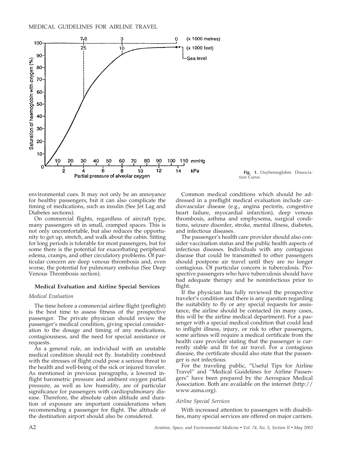



environmental cues. It may not only be an annoyance for healthy passengers, but it can also complicate the timing of medications, such as insulin (See Jet Lag and Diabetes sections).

On commercial flights, regardless of aircraft type, many passengers sit in small, cramped spaces. This is not only uncomfortable, but also reduces the opportunity to get up, stretch, and walk about the cabin. Sitting for long periods is tolerable for most passengers, but for some there is the potential for exacerbating peripheral edema, cramps, and other circulatory problems. Of particular concern are deep venous thrombosis and, even worse, the potential for pulmonary embolus (See Deep Venous Thrombosis section).

#### **Medical Evaluation and Airline Special Services**

#### *Medical Evaluation*

The time before a commercial airline flight (preflight) is the best time to assess fitness of the prospective passenger. The private physician should review the passenger's medical condition, giving special consideration to the dosage and timing of any medications, contagiousness, and the need for special assistance or requests.

As a general rule, an individual with an unstable medical condition should not fly. Instability combined with the stresses of flight could pose a serious threat to the health and well-being of the sick or injured traveler. As mentioned in previous paragraphs, a lowered inflight barometric pressure and ambient oxygen partial pressure, as well as low humidity, are of particular significance for passengers with cardiopulmonary disease. Therefore, the absolute cabin altitude and duration of exposure are important considerations when recommending a passenger for flight. The altitude of the destination airport should also be considered.

Common medical conditions which should be addressed in a preflight medical evaluation include cardiovascular disease (e.g., angina pectoris, congestive heart failure, myocardial infarction), deep venous thrombosis, asthma and emphysema, surgical conditions, seizure disorder, stroke, mental illness, diabetes, and infectious diseases.

The passenger's health care provider should also consider vaccination status and the public health aspects of infectious diseases. Individuals with any contagious disease that could be transmitted to other passengers should postpone air travel until they are no longer contagious. Of particular concern is tuberculosis. Prospective passengers who have tuberculosis should have had adequate therapy and be noninfectious prior to flight.

If the physician has fully reviewed the prospective traveler's condition and there is any question regarding the suitability to fly or any special requests for assistance, the airline should be contacted  $\overline{a}$  (in many cases, this will be the airline medical department). For a passenger with a special medical condition that could lead to inflight illness, injury, or risk to other passengers, some airlines will require a medical certificate from the health care provider stating that the passenger is currently stable and fit for air travel. For a contagious disease, the certificate should also state that the passenger is not infectious.

For the traveling public, "Useful Tips for Airline Travel" and "Medical Guidelines for Airline Passengers" have been prepared by the Aerospace Medical Association. Both are available on the internet (http:// www.asma.org).

#### *Airline Special Services*

With increased attention to passengers with disabilities, many special services are offered on major carriers.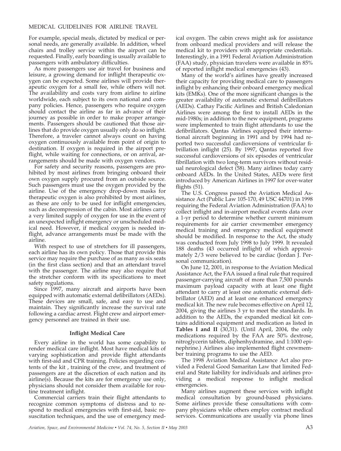For example, special meals, dictated by medical or personal needs, are generally available. In addition, wheel chairs and trolley service within the airport can be requested. Finally, early boarding is usually available to passengers with ambulatory difficulties.

As more passengers use air travel for business and leisure, a growing demand for inflight therapeutic oxygen can be expected. Some airlines will provide therapeutic oxygen for a small fee, while others will not. The availability and costs vary from airline to airline worldwide, each subject to its own national and company policies. Hence, passengers who require oxygen should contact the airline as far in advance of their journey as possible in order to make proper arrangements. Passengers should be cautioned that those airlines that do provide oxygen usually only do so inflight. Therefore, a traveler cannot always count on having oxygen continuously available from point of origin to destination. If oxygen is required in the airport preflight, while waiting for connections, or on arrival, arrangements should be made with oxygen vendors.

For safety and security reasons, passengers are prohibited by most airlines from bringing onboard their own oxygen supply procured from an outside source. Such passengers must use the oxygen provided by the airline. Use of the emergency drop-down masks for therapeutic oxygen is also prohibited by most airlines, as these are only to be used for inflight emergencies, such as decompression of the cabin. Most airlines carry a very limited supply of oxygen for use in the event of an unexpected inflight emergency or unscheduled medical need. However, if medical oxygen is needed inflight, advance arrangements must be made with the airline.

With respect to use of stretchers for ill passengers, each airline has its own policy. Those that provide this service may require the purchase of as many as six seats (in the first class section) and that an attendant travel with the passenger. The airline may also require that the stretcher conform with its specifications to meet safety regulations.

Since 1997, many aircraft and airports have been equipped with automatic external defibrillators (AEDs). These devices are small, safe, and easy to use and maintain. They significantly increase the survival rate following a cardiac arrest. Flight crew and airport emergency personnel are trained in their use.

#### **Inflight Medical Care**

Every airline in the world has some capability to render medical care inflight. Most have medical kits of varying sophistication and provide flight attendants with first-aid and CPR training. Policies regarding contents of the kit , training of the crew, and treatment of passengers are at the discretion of each nation and its airline(s). Because the kits are for emergency use only, physicians should not consider them available for routine treatment inflight.

Commercial carriers train their flight attendants to recognize common symptoms of distress and to respond to medical emergencies with first-aid, basic resuscitation techniques, and the use of emergency medical oxygen. The cabin crews might ask for assistance from onboard medical providers and will release the medical kit to providers with appropriate credentials. Interestingly, in a 1991 Federal Aviation Administration (FAA) study, physician travelers were available in 85% of reported inflight medical emergencies (43).

Many of the world's airlines have greatly increased their capacity for providing medical care to passengers inflight by enhancing their onboard emergency medical kits (EMKs). One of the more significant changes is the greater availability of automatic external defibrillators (AEDs). Cathay Pacific Airlines and British Caledonian Airlines were among the first to install AEDs in the mid-1980s; in addition to the new equipment, programs were implemented to train flight attendants to use the defibrillators. Qantas Airlines equipped their international aircraft beginning in 1991 and by 1994 had reported two successful cardioversions of ventricular fibrillation inflight (25). By 1997, Qantas reported five successful cardioversions of six episodes of ventricular fibrillation with two long-term survivors without residual neurological defect (58). Many airlines today carry onboard AEDs. In the United States, AEDs were first introduced by American Airlines in 1997 for over-water flights (51).

The U.S. Congress passed the Aviation Medical Assistance Act (Public Law 105-170, 49 USC 44701) in 1998 requiring the Federal Aviation Administration (FAA) to collect inflight and in-airport medical events data over a 1-yr period to determine whether current minimum requirements for air carrier crewmember emergency medical training and emergency medical equipment should be modified. In response to the Act, the study was conducted from July 1998 to July 1999. It revealed 188 deaths (43 occurred inflight) of which approximately 2/3 were believed to be cardiac (Jordan J. Personal communication).

On June 12, 2001, in response to the Aviation Medical Assistance Act, the FAA issued a final rule that required passenger-carrying aircraft of more than 7,500 pounds maximum payload capacity with at least one flight attendant to carry at least one automatic external defibrillator (AED) and at least one enhanced emergency medical kit. The new rule becomes effective on April 12, 2004, giving the airlines 3 yr to meet the standards. In addition to the AEDs, the expanded medical kit contains additional equipment and medication as listed in **Tables I and II** (30,31). (Until April, 2004, the only medications required by the FAA are 50% dextrose, nitroglycerin tablets, diphenhydramine, and 1:1000 epinephrine.) Airlines also implemented flight crewmember training programs to use the AED.

The 1998 Aviation Medical Assistance Act also provided a Federal Good Samaritan Law that limited Federal and State liability for individuals and airlines providing a medical response to inflight medical emergencies.

Many airlines augment these services with inflight medical consultation by ground-based physicians. Some airlines provide these consultations with company physicians while others employ contract medical services. Communications are usually via phone lines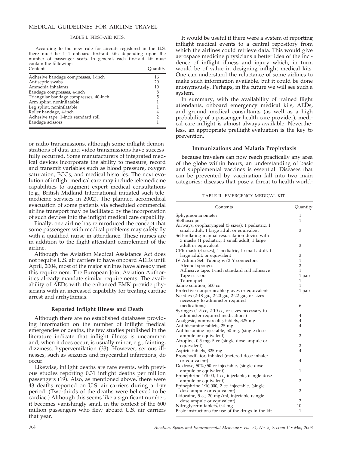#### TABLE I. FIRST-AID KITS.

According to the new rule for aircraft registered in the U.S. there must be 1-4 onboard first-aid kits depending upon the number of passenger seats. In general, each first-aid kit must contain the following:

| Contents                               | Quantity      |  |
|----------------------------------------|---------------|--|
| Adhesive bandage compresses, 1-inch    | 16            |  |
| Antiseptic swabs                       | 20            |  |
| Ammonia inhalants                      | 10            |  |
| Bandage compresses, 4-inch             | 8             |  |
| Triangular bandage compresses, 40-inch | 5             |  |
| Arm splint, noninflatable              |               |  |
| Leg splint, noninflatable              |               |  |
| Roller bandage, 4-inch                 | 4             |  |
| Adhesive tape, 1-inch standard roll    | $\mathcal{P}$ |  |
| Bandage scissors                       |               |  |

or radio transmissions, although some inflight demonstrations of data and video transmissions have successfully occurred. Some manufacturers of integrated medical devices incorporate the ability to measure, record and transmit variables such as blood pressure, oxygen saturation, ECGs, and medical histories. The next evolution of inflight medical care may include telemedicine capabilities to augment expert medical consultations (e.g., British Midland International initiated such telemedicine services in 2002). The planned aeromedical evacuation of some patients via scheduled commercial airline transport may be facilitated by the incorporation of such devices into the inflight medical care capability.

Finally, one airline has reintroduced the concept that some passengers with medical problems may safely fly with a qualified nurse in attendance. These nurses are in addition to the flight attendant complement of the airline.

Although the Aviation Medical Assistance Act does not require U.S. air carriers to have onboard AEDs until April, 2004, most of the major airlines have already met this requirement. The European Joint Aviation Authorities already mandate similar requirements. The availability of AEDs with the enhanced EMK provide physicians with an increased capability for treating cardiac arrest and arrhythmias.

#### **Reported Inflight Illness and Death**

Although there are no established databases providing information on the number of inflight medical emergencies or deaths, the few studies published in the literature indicate that inflight illness is uncommon and, when it does occur, is usually minor, e.g., fainting, dizziness, hyperventilation (33). However, serious illnesses, such as seizures and myocardial infarctions, do occur.

Likewise, inflight deaths are rare events, with previous studies reporting 0.31 inflight deaths per million passengers (19). Also, as mentioned above, there were 43 deaths reported on U.S. air carriers during a 1-yr period. (Two-thirds of the deaths were believed to be cardiac.) Although this seems like a significant number, it becomes vanishingly small in the context of the 600 million passengers who flew aboard U.S. air carriers that year.

It would be useful if there were a system of reporting inflight medical events to a central repository from which the airlines could retrieve data. This would give aerospace medicine physicians a better idea of the incidence of inflight illness and injury which, in turn, would be of value in designing inflight medical kits. One can understand the reluctance of some airlines to make such information available, but it could be done anonymously. Perhaps, in the future we will see such a system.

In summary, with the availability of trained flight attendants, onboard emergency medical kits, AEDs, and ground medical consultants (as well as a high probability of a passenger health care provider), medical care inflight is almost always available. Nevertheless, an appropriate preflight evaluation is the key to prevention.

#### **Immunizations and Malaria Prophylaxis**

Because travelers can now reach practically any area of the globe within hours, an understanding of basic and supplemental vaccines is essential. Diseases that can be prevented by vaccination fall into two main categories: diseases that pose a threat to health world-

TABLE II. EMERGENCY MEDICAL KIT.

| Contents                                           | Quantity       |
|----------------------------------------------------|----------------|
| Sphygmomanometer                                   | 1              |
| Stethoscope                                        | $\mathbf{1}$   |
| Airways, oropharyngeal (3 sizes): 1 pediatric, 1   |                |
| small adult, 1 large adult or equivalent           | 3              |
| Self-inflating manual resuscitation device with    |                |
| 3 masks (1 pediatric, 1 small adult, 1 large       |                |
| adult or equivalent                                | 3              |
| CPR mask (3 sizes), 1 pediatric, 1 small adult, 1  |                |
| large adult, or equivalent                         | 3              |
| IV Admin Set: Tubing w/2 Y connectors              | $\mathbf{1}$   |
| Alcohol sponges                                    | $\overline{2}$ |
| Adhesive tape, 1-inch standard roll adhesive       | 1              |
| Tape scissors                                      | 1 pair         |
| Tourniquet                                         | 1              |
| Saline solution, 500 cc                            | 1              |
| Protective nonpermeable gloves or equivalent       | 1 pair         |
| Needles (2-18 ga., 2-20 ga., 2-22 ga., or sizes    |                |
| necessary to administer required                   |                |
| medications)                                       | 6              |
| Syringes (1-5 cc, 2-10 cc, or sizes necessary to   |                |
| administer required medications)                   | 4              |
| Analgesic, non-narcotic, tablets, 325 mg           | $\overline{4}$ |
| Antihistamine tablets, 25 mg                       | $\overline{4}$ |
| Antihistamine injectable, 50 mg, (single dose      |                |
| ampule or equivalent)                              | 2              |
| Atropine, 0.5 mg, 5 cc (single dose ampule or      |                |
| equivalent)                                        | 2              |
| Aspirin tablets, 325 mg                            | $\overline{4}$ |
| Bronchodilator, inhaled (metered dose inhaler      |                |
| or equivalent)                                     | $\overline{4}$ |
| Dextrose, 50%/50 cc injectable, (single dose       |                |
| ampule or equivalent)                              | $\mathbf{1}$   |
| Epinephrine 1:1000, 1 cc, injectable, (single dose |                |
| ampule or equivalent)                              | 2              |
| Epinephrine 1:10,000, 2 cc, injectable, (single    |                |
| dose ampule or equivalent)                         | 2              |
| Lidocaine, 5 cc, 20 mg/ml, injectable (single      |                |
| dose ampule or equivalent)                         | $\overline{2}$ |
| Nitroglycerin tablets, 0.4 mg                      | 10             |
| Basic instructions for use of the drugs in the kit | $\mathbf{1}$   |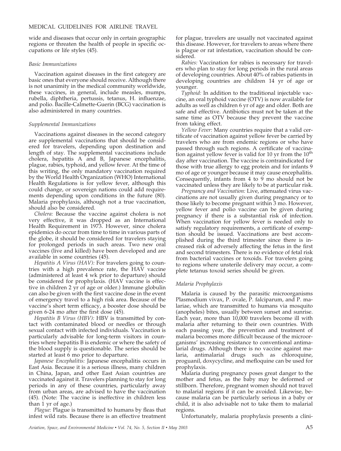wide and diseases that occur only in certain geographic regions or threaten the health of people in specific occupations or life styles (45).

#### *Basic Immunizations*

Vaccination against diseases in the first category are basic ones that everyone should receive. Although there is not unanimity in the medical community worldwide, these vaccines, in general, include measles, mumps, rubella, diphtheria, pertussis, tetanus, H. influenzae, and polio. Bacille-Calmette-Guerin (BCG) vaccination is also administered in many countries.

#### *Supplemental Immunizations*

Vaccinations against diseases in the second category are supplemental vaccinations that should be considered for travelers, depending upon destination and length of stay. The supplemental vaccinations include cholera, hepatitis A and B, Japanese encephalitis, plague, rabies, typhoid, and yellow fever. At the time of this writing, the only mandatory vaccination required by the World Health Organization (WHO) International Health Regulations is for yellow fever, although this could change, or sovereign nations could add requirements depending upon conditions in the future (80). Malaria prophylaxis, although not a true vaccination, should also be considered.

*Cholera:* Because the vaccine against cholera is not very effective, it was dropped as an International Health Requirement in 1973. However, since cholera epidemics do occur from time to time in various parts of the globe, it should be considered for travelers staying for prolonged periods in such areas. Two new oral vaccines (live and killed) have been developed and are available in some countries (45).

*Hepatitis A Virus (HAV):* For travelers going to countries with a high prevalence rate, the HAV vaccine (administered at least 4 wk prior to departure) should be considered for prophylaxis. (HAV vaccine is effective in children 2 yr of age or older.) Immune globulin can also be given with the first vaccine dose in the event of emergency travel to a high risk area. Because of the vaccine's short term efficacy, a booster dose should be given 6-24 mo after the first dose (45).

*Hepatitis B Virus (HBV):* HBV is transmitted by contact with contaminated blood or needles or through sexual contact with infected individuals. Vaccination is particularly advisable for long-term visitors in countries where hepatitis B is endemic or where the safety of the blood supply is questionable. The series should be started at least 6 mo prior to departure.

*Japanese Encephalitis:* Japanese encephalitis occurs in East Asia. Because it is a serious illness, many children in China, Japan, and other East Asian countries are vaccinated against it. Travelers planning to stay for long periods in any of these countries, particularly away from urban areas, are advised to have the vaccination (45). (Note: The vaccine is ineffective in children less than 1 yr of age.)

*Plague:* Plague is transmitted to humans by fleas that infest wild rats. Because there is an effective treatment

for plague, travelers are usually not vaccinated against this disease. However, for travelers to areas where there is plague or rat infestation, vaccination should be considered.

*Rabies:* Vaccination for rabies is necessary for travelers who plan to stay for long periods in the rural areas of developing countries. About 40% of rabies patients in developing countries are children 14 yr of age or younger.

*Typhoid:* In addition to the traditional injectable vaccine, an oral typhoid vaccine (OTV) is now available for adults as well as children 6 yr of age and older. Both are safe and effective. Antibiotics must not be taken at the same time as OTV because they prevent the vaccine from taking effect.

*Yellow Fever:* Many countries require that a valid certificate of vaccination against yellow fever be carried by travelers who are from endemic regions or who have passed through such regions. A certificate of vaccination against yellow fever is valid for 10 yr from the  $10<sup>th</sup>$ day after vaccination. The vaccine is contraindicated for those with true allergy to egg protein and for infants 9 mo of age or younger because it may cause encephalitis. Consequently, infants from  $4$  to  $9$  mo should not be vaccinated unless they are likely to be at particular risk.

*Pregnancy and Vaccination:* Live, attenuated virus vaccinations are not usually given during pregnancy or to those likely to become pregnant within 3 mo. However, yellow fever and polio vaccine can be given during pregnancy if there is a substantial risk of infection. When vaccination for yellow fever is needed only to satisfy regulatory requirements, a certificate of exemption should be issued. Vaccinations are best accomplished during the third trimester since there is increased risk of adversely affecting the fetus in the first and second trimesters. There is no evidence of fetal risk from bacterial vaccines or toxoids. For travelers going to regions where unsterile delivery may occur, a complete tetanus toxoid series should be given.

#### *Malaria Prophylaxis*

Malaria is caused by the parasitic microorganisms Plasmodium vivax, P. ovale, P. falciparum, and P. malariae, which are transmitted to humans via mosquito (anopheles) bites, usually between sunset and sunrise. Each year, more than 10,000 travelers become ill with malaria after returning to their own countries. With each passing year, the prevention and treatment of malaria becomes more difficult because of the microorganisms' increasing resistance to conventional antimalarial drugs. Although there is no vaccine against malaria, antimalarial drugs such as chloroquine, proguanil, doxycycline, and mefloquine can be used for prophylaxis.

Malaria during pregnancy poses great danger to the mother and fetus, as the baby may be deformed or stillborn. Therefore, pregnant women should not travel to malarial regions if it can be avoided. Likewise, because malaria can be particularly serious in a baby or child, it is also advisable not to take them to malarial regions.

Unfortunately, malaria prophylaxis presents a clini-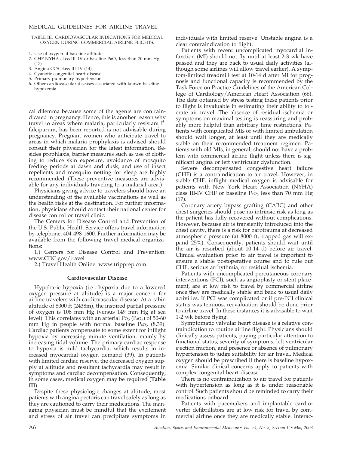#### TABLE III. CARDIOVASCULAR INDICATIONS FOR MEDICAL OXYGEN DURING COMMERCIAL AIRLINE FLIGHTS.

- 1. Use of oxygen at baseline altitude
- 2. CHF NYHA class III–IV or baseline  $PaO<sub>2</sub>$  less than 70 mm Hg (17)
- 3. Angina CCS class III–IV (14)
- 4. Cyanotic congenital heart disease
- 5. Primary pulmonary hypertension
- Other cardiovascular diseases associated with known baseline hypoxemia

cal dilemma because some of the agents are contraindicated in pregnancy. Hence, this is another reason why travel to areas where malaria, particularly resistant P. falciparum, has been reported is not advisable during pregnancy. Pregnant women who anticipate travel to areas in which malaria prophylaxis is advised should consult their physician for the latest information. Besides prophlaxis, barrier measures such as use of clothing to reduce skin exposure, avoidance of mosquito feeding periods at dawn and dusk, and use of insect repellents and mosquito netting for sleep are highly recommended. (These preventive measures are advisable for any individuals traveling to a malarial area.)

Physicians giving advice to travelers should have an understanding of the available vaccinations as well as the health risks at the destination. For further information, physicians should contact their national center for disease control or travel clinic.

The Centers for Disease Control and Prevention of the U.S. Public Health Service offers travel information by telephone, 404-498-1600. Further information may be available from the following travel medical organizations:

1.) Centers for Disease Control and Prevention: www.CDC.gov/travel

2.) Travel Health Online: www.tripprep.com

#### **Cardiovascular Disease**

Hypobaric hypoxia (i.e., hypoxia due to a lowered oxygen pressure at altitude) is a major concern for airline travelers with cardiovascular disease. At a cabin altitude of 8000 ft (2438m), the inspired partial pressure of oxygen is 108 mm Hg (versus 149 mm Hg at sea level). This correlates with an arterial  $P_{{\rm O}_2}$  ( $P_{{\rm aO}_2}$ ) of 50-60 mm Hg in people with normal baseline  $P_{aO_2}$  (8,39). Cardiac patients compensate to some extent for inflight hypoxia by increasing minute ventilation, mainly by increasing tidal volume. The primary cardiac response to hypoxia is mild tachycardia, which results in increased myocardial oxygen demand (39). In patients with limited cardiac reserve, the decreased oxygen supply at altitude and resultant tachycardia may result in symptoms and cardiac decompensation. Consequently, in some cases, medical oxygen may be required (**Table III**).

Despite these physiologic changes at altitude, most patients with angina pectoris can travel safely as long as they are cautioned to carry their medications. The managing physician must be mindful that the excitement and stress of air travel can precipitate symptoms in individuals with limited reserve. Unstable angina is a clear contraindication to flight.

Patients with recent uncomplicated myocardial infarction (MI) should not fly until at least 2-3 wk have passed and they are back to usual daily activities (although some airlines will allow travel earlier). A symptom-limited treadmill test at 10-14 d after MI for prognosis and functional capacity is recommended by the Task Force on Practice Guidelines of the American College of Cardiology/American Heart Association (66). The data obtained by stress testing these patients prior to flight is invaluable in estimating their ability to tolerate air travel. The absence of residual ischemia or symptoms on maximal testing is reassuring and probably more helpful than arbitrary time restrictions. Patients with complicated MIs or with limited ambulation should wait longer, at least until they are medically stable on their recommended treatment regimen. Patients with old MIs, in general, should not have a problem with commercial airline flight unless there is significant angina or left ventricular dysfunction.

Severe decompensated congestive heart failure (CHF) is a contraindication to air travel. However, in stable CHF, inflight medical oxygen is advisable for patients with New York Heart Association (NYHA) class III-IV CHF or baseline  $PaO<sub>2</sub>$  less than 70 mm Hg (17).

Coronary artery bypass grafting (CABG) and other chest surgeries should pose no intrinsic risk as long as the patient has fully recovered without complications. However, because air is transiently introduced into the chest cavity, there is a risk for barotrauma at decreased atmospheric pressure (at 8000 ft, trapped gas will expand 25%). Consequently, patients should wait until the air is resorbed (about 10-14 d) before air travel. Clinical evaluation prior to air travel is important to ensure a stable postoperative course and to rule out CHF, serious arrhythmia, or residual ischemia.

Patients with uncomplicated percutaneous coronary interventions (PCI), such as angioplasty or stent placement, are at low risk to travel by commercial airline once they are medically stable and back to usual daily activities. If PCI was complicated or if pre-PCI clinical status was tenuous, reevaluation should be done prior to airline travel. In these instances it is advisable to wait 1-2 wk before flying.

Symptomatic valvular heart disease is a relative contraindication to routine airline flight. Physicians should clinically assess patients, paying particular attention to functional status, severity of symptoms, left ventricular ejection fraction, and presence or absence of pulmonary hypertension to judge suitability for air travel. Medical oxygen should be prescribed if there is baseline hypoxemia. Similar clinical concerns apply to patients with complex congenital heart disease.

There is no contraindication to air travel for patients with hypertension as long as it is under reasonable control. Such patients should be reminded to carry their medications onboard.

Patients with pacemakers and implantable cardioverter defibrillators are at low risk for travel by commercial airline once they are medically stable. Interac-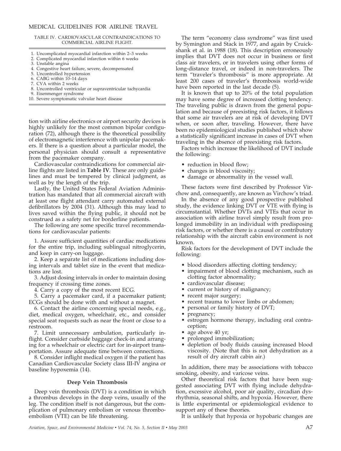TABLE IV. CARDIOVASCULAR CONTRAINDICATIONS TO COMMERCIAL AIRLINE FLIGHT.

- 1. Uncomplicated myocardial infarction within 2–3 weeks
- Complicated myocardial infarction within 6 weeks
- 3. Unstable angina
- 4. Congestive heart failure, severe, decompensated
- 5. Uncontrolled hypertension
- 6. CABG within 10–14 days
- 7. CVA within 2 weeks
- 8. Uncontrolled ventricular or supraventricular tachycardia
- 9. Eisenmenger syndrome
- 10. Severe symptomatic valvular heart disease

tion with airline electronics or airport security devices is highly unlikely for the most common bipolar configuration (72), although there is the theoretical possibility of electromagnetic interference with unipolar pacemakers. If there is a question about a particular model, the personal physician should consult a representative from the pacemaker company.

Cardiovascular contraindications for commercial airline flights are listed in **Table IV**. These are only guidelines and must be tempered by clinical judgment, as well as by the length of the trip.

Lastly, the United States Federal Aviation Administration has mandated that all commercial aircraft with at least one flight attendant carry automated external defibrillators by 2004 (31). Although this may lead to lives saved within the flying public, it should not be construed as a safety net for borderline patients.

The following are some specific travel recommendations for cardiovascular patients:

1. Assure sufficient quantities of cardiac medications for the entire trip, including sublingual nitroglycerin, and keep in carry-on luggage.

2. Keep a separate list of medications including dosing intervals and tablet size in the event that medications are lost.

3. Adjust dosing intervals in order to maintain dosing frequency if crossing time zones.

4. Carry a copy of the most recent ECG.

5. Carry a pacemaker card, if a pacemaker patient; ECGs should be done with and without a magnet.

6. Contact the airline concerning special needs, e.g., diet, medical oxygen, wheelchair, etc., and consider special seat requests such as near the front or close to a restroom.

7. Limit unnecessary ambulation, particularly inflight. Consider curbside baggage check-in and arranging for a wheelchair or electric cart for in-airport transportation. Assure adequate time between connections.

8. Consider inflight medical oxygen if the patient has Canadian Cardiovascular Society class III-IV angina or baseline hypoxemia (14).

#### **Deep Vein Thrombosis**

Deep vein thrombosis (DVT) is a condition in which a thrombus develops in the deep veins, usually of the leg. The condition itself is not dangerous, but the complication of pulmonary embolism or venous thromboembolism (VTE) can be life threatening.

The term "economy class syndrome" was first used by Symington and Stack in 1977, and again by Cruickshank et al. in 1988 (18). This description erroneously implies that DVT does not occur in business or first class air travelers, or in travelers using other forms of long-distance travel, or indeed in non-travelers. The term "traveler's thrombosis" is more appropriate. At least 200 cases of traveler's thrombosis world-wide have been reported in the last decade (5).

It is known that up to 20% of the total population may have some degree of increased clotting tendency. The traveling public is drawn from the general population and because of preexisting risk factors, it follows that some air travelers are at risk of developing DVT when, or soon after, traveling. However, there have been no epidemiological studies published which show a statistically significant increase in cases of DVT when traveling in the absence of preexisting risk factors.

Factors which increase the likelihood of DVT include the following:

- reduction in blood flow;
- changes in blood viscosity;
- damage or abnormality in the vessel wall.

These factors were first described by Professor Virchow and, consequently, are known as Virchow's triad.

In the absence of any good prospective published study, the evidence linking DVT or VTE with flying is circumstantial. Whether DVTs and VTEs that occur in association with airline travel simply result from prolonged immobility in an individual with predisposing risk factors, or whether there is a causal or contributory relationship with the aircraft cabin environment is not known.

Risk factors for the development of DVT include the following:

- blood disorders affecting clotting tendency;
- impairment of blood clotting mechanism, such as clotting factor abnormality;
- cardiovascular disease;
- current or history of malignancy;
- recent major surgery;
- recent trauma to lower limbs or abdomen;
- personal or family history of DVT;
- pregnancy;
- estrogen hormone therapy, including oral contraception;
- age above 40 yr;
- prolonged immobilization;
- depletion of body fluids causing increased blood viscosity. (Note that this is not dehydration as a result of dry aircraft cabin air.)

In addition, there may be associations with tobacco smoking, obesity, and varicose veins.

Other theoretical risk factors that have been suggested associating DVT with flying include dehydration, excessive alcohol, poor air quality, circadian dysrhythmia, seasonal shifts, and hypoxia. However, there is little experimental or epidemiological evidence to support any of these theories.

It is unlikely that hypoxia or hypobaric changes are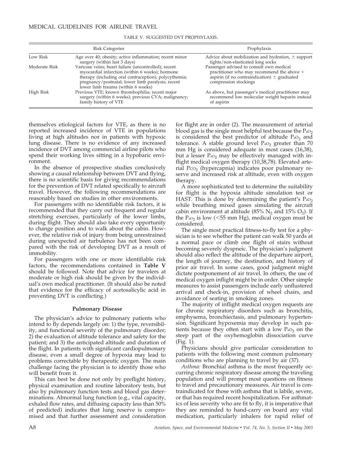| <b>Risk Categories</b> |                                                                                                                                                                                                                                                             | Prophylaxis                                                                                                                                                         |  |
|------------------------|-------------------------------------------------------------------------------------------------------------------------------------------------------------------------------------------------------------------------------------------------------------|---------------------------------------------------------------------------------------------------------------------------------------------------------------------|--|
| Low Risk               | Age over 40; obesity; active inflammation; recent minor<br>surgery (within last 3 days)                                                                                                                                                                     | Advice about mobilization and hydration, $\pm$ support<br>tights/non-elasticated long socks                                                                         |  |
| Moderate Risk          | Varicose veins; heart failure (uncontrolled); recent<br>myocardial infarction (within 6 weeks); hormone<br>therapy (including oral contraception); polycythemia;<br>pregnancy/postnatal; lower limb paralysis; recent<br>lower limb trauma (within 6 weeks) | Passenger advised to consult own medical<br>practitioner who may recommend the above +<br>aspirin (if no contraindication) $\pm$ graduated<br>compression stockings |  |
| High Risk              | Previous VTE; known thrombophilia; recent major<br>surgery (within 6 weeks); previous CVA; malignancy;<br>family history of VTE                                                                                                                             | As above, but passenger's medical practitioner may<br>recommend low molecular weight heparin instead<br>of aspirin                                                  |  |

TABLE V. SUGGESTED DVT PROPHYLAXIS.

themselves etiological factors for VTE, as there is no reported increased incidence of VTE in populations living at high altitudes nor in patients with hypoxic lung disease. There is no evidence of any increased incidence of DVT among commercial airline pilots who spend their working lives sitting in a hypobaric environment.

In the absence of prospective studies conclusively showing a causal relationship between DVT and flying, there is no scientific basis for giving recommendations for the prevention of DVT related specifically to aircraft travel. However, the following recommendations are reasonably based on studies in other environments.

For passengers with no identifiable risk factors, it is recommended that they carry out frequent and regular stretching exercises, particularly of the lower limbs, during flight. They should also take every opportunity to change position and to walk about the cabin. However, the relative risk of injury from being unrestrained during unexpected air turbulence has not been compared with the risk of developing DVT as a result of immobility.

For passengers with one or more identifiable risk factors, the recommendations contained in **Table V** should be followed. Note that advice for travelers at moderate or high risk should be given by the individual's own medical practitioner. (It should also be noted that evidence for the efficacy of acetosalicylic acid in preventing DVT is conflicting.)

#### **Pulmonary Disease**

The physician's advice to pulmonary patients who intend to fly depends largely on: 1) the type, reversibility, and functional severity of the pulmonary disorder; 2) the evaluation of altitude tolerance and safety for the patient; and 3) the anticipated altitude and duration of the flight. In patients with significant cardiopulmonary disease, even a small degree of hypoxia may lead to problems correctable by therapeutic oxygen. The main challenge facing the physician is to identify those who will benefit from it.

This can best be done not only by preflight history, physical examination and routine laboratory tests, but also by pulmonary function tests and blood gas determinations. Abnormal lung function (e.g., vital capacity, exhaled flow rates, and diffusing capacity less than 50% of predicted) indicates that lung reserve is compromised and that further assessment and consideration

for flight are in order (2). The measurement of arterial blood gas is the single most helpful test because the  $Pa<sub>2</sub>$ is considered the best predictor of altitude  $PaO<sub>2</sub>$  and tolerance. A stable ground level  $PaO<sub>2</sub>$  greater than 70 mm Hg is considered adequate in most cases (16,38), but a lesser  $P_{aO_2}$  may be effectively managed with inflight medical oxygen therapy (10,38,78). Elevated arterial P $\cos$  (hypercapnia) indicates poor pulmonary reserve and increased risk at altitude, even with oxygen therapy.

A more sophisticated test to determine the suitability for flight is the hypoxia altitude simulation test or HAST. This is done by determining the patient's  $Pa<sub>2</sub>$ while breathing mixed gases simulating the aircraft cabin environment at altitude (85%  $N_2$  and 15%  $O_2$ ). If the  $P_{a0_2}$  is low ( $\leq 55$  mm Hg), medical oxygen must be considered.

The single most practical fitness-to-fly test for a physician is to see whether the patient can walk 50 yards at a normal pace or climb one flight of stairs without becoming severely dyspneic. The physician's judgment should also reflect the altitude of the departure airport, the length of journey, the destination, and history of prior air travel. In some cases, good judgment might dictate postponement of air travel. In others, the use of medical oxygen inflight might be in order. Other simple measures to assist passengers include early unflustered arrival and check-in, provision of wheel chairs, and avoidance of seating in smoking zones.

The majority of inflight medical oxygen requests are for chronic respiratory disorders such as bronchitis, emphysema, bronchiectasis, and pulmonary hypertension. Significant hypoxemia may develop in such patients because they often start with a low  $PaO<sub>2</sub>$  on the steep part of the oxyhemoglobin dissociation curve (Fig. 1).

Physicians should give particular consideration to patients with the following most common pulmonary conditions who are planning to travel by air (37).

*Asthma:* Bronchial asthma is the most frequently occurring chronic respiratory disease among the traveling population and will prompt most questions on fitness to travel and precautionary measures. Air travel is contraindicated for those with asthma that is labile, severe, or that has required recent hospitalization. For asthmatics of less severity who are fit to fly, it is imperative that they are reminded to hand-carry on board any vital medication, particularly inhalers for rapid relief of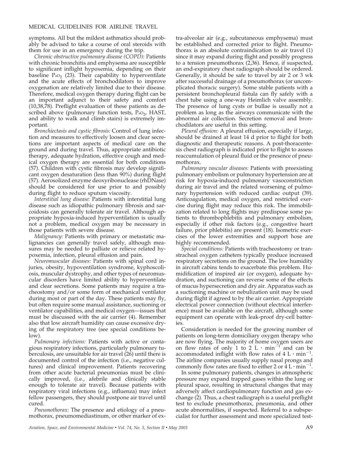symptoms. All but the mildest asthmatics should probably be advised to take a course of oral steroids with them for use in an emergency during the trip.

*Chronic obstructive pulmonary disease (COPD):* Patients with chronic bronchitis and emphysema are susceptible to significant inflight hypoxemia, depending on their baseline  $PaO<sub>2</sub>$  (23). Their capability to hyperventilate and the acute effects of bronchodilators to improve oxygenation are relatively limited due to their disease. Therefore, medical oxygen therapy during flight can be an important adjunct to their safety and comfort (10,38,78). Preflight evaluation of these patients as described above (pulmonary function tests,  $P_{aO_2}$ , HAST, and ability to walk and climb stairs) is extremely important.

*Bronchiectasis and cystic fibrosis:* Control of lung infection and measures to effectively loosen and clear secretions are important aspects of medical care on the ground and during travel. Thus, appropriate antibiotic therapy, adequate hydration, effective cough and medical oxygen therapy are essential for both conditions (57). Children with cystic fibrosis may develop significant oxygen desaturation (less than 90%) during flight (57). Aerosolized enzyme deoxyribonuclease (rhDNase) should be considered for use prior to and possibly during flight to reduce sputum viscosity.

*Interstitial lung disease:* Patients with interstitial lung disease such as idiopathic pulmonary fibrosis and sarcoidosis can generally tolerate air travel. Although appropriate hypoxia-induced hyperventilation is usually not a problem, medical oxygen may be necessary in those patients with severe disease.

*Malignancy:* Patients with primary or metastatic malignancies can generally travel safely, although measures may be needed to palliate or relieve related hypoxemia, infection, pleural effusion and pain.

*Neuromuscular diseases:* Patients with spinal cord injuries, obesity, hypoventilation syndrome, kyphoscoliosis, muscular dystrophy, and other types of neuromuscular disorders have limited ability to hyperventilate and clear secretions. Some patients may require a tracheostomy and/or some form of mechanical ventilator during most or part of the day. These patients may fly, but often require some manual assistance, suctioning or ventilator capabilities, and medical oxygen—issues that must be discussed with the air carrier (4). Remember also that low aircraft humidity can cause excessive drying of the respiratory tree (see special conditions below).

*Pulmonary infections:* Patients with active or contagious respiratory infections, particularly pulmonary tuberculosis, are unsuitable for air travel (26) until there is documented control of the infection (i.e., negative cultures) and clinical improvement. Patients recovering from other acute bacterial pneumonias must be clinically improved, (i.e., afebrile and clinically stable enough to tolerate air travel). Because patients with respiratory viral infections (e.g., influenza) may infect fellow passengers, they should postpone air travel until cured.

*Pneumothorax:* The presence and etiology of a pneumothorax, pneumomediastinum, or other marker of extra-alveolar air (e.g., subcutaneous emphysema) must be established and corrected prior to flight. Pneumothorax is an absolute contraindication to air travel (1) since it may expand during flight and possibly progress to a tension pneumothorax (2,36). Hence, if suspected, an end-expiratory chest radiograph should be ordered. Generally, it should be safe to travel by air 2 or 3 wk after successful drainage of a pneumothorax (or uncomplicated thoracic surgery). Some stable patients with a persistent bronchopleural fistula can fly safely with a chest tube using a one-way Heimlich valve assembly. The presence of lung cysts or bullae is usually not a problem as long as the airways communicate with the abnormal air collection. Secretion removal and bronchodilators are useful in this setting.

*Pleural effusion:* A pleural effusion, especially if large, should be drained at least 14 d prior to flight for both diagnostic and therapeutic reasons. A post-thoracentesis chest radiograph is indicated prior to flight to assess reaccumulation of pleural fluid or the presence of pneumothorax.

*Pulmonary vascular diseases:* Patients with preexisting pulmonary embolism or pulmonary hypertension are at risk for hypoxia-induced pulmonary vasoconstriction during air travel and the related worsening of pulmonary hypertension with reduced cardiac output (39). Anticoagulation, medical oxygen, and restricted exercise during flight may reduce this risk. The immobilization related to long flights may predispose some patients to thrombophlebitis and pulmonary embolism, especially if other risk factors (e.g., congestive heart failure, prior phlebitis) are present (18). Isometric exercises of the lower extremities and support hose are highly recommended.

*Special conditions:* Patients with tracheostomy or transtracheal oxygen catheters typically produce increased respiratory secretions on the ground. The low humidity in aircraft cabins tends to exacerbate this problem. Humidification of inspired air (or oxygen), adequate hydration, and suctioning can reverse some of the effects of mucus hypersecretion and dry air. Apparatus such as a suctioning machine or nebulization unit may be used during flight if agreed to by the air carrier. Appropriate electrical power connection (without electrical interference) must be available on the aircraft, although some equipment can operate with leak-proof dry-cell batteries.

Consideration is needed for the growing number of patients on long-term domiciliary oxygen therapy who are now flying. The majority of home oxygen users are on flow rates of only 1 to 2 L  $\cdot$  min<sup>-1</sup> and can be accommodated inflight with flow rates of  $4 \text{ L} \cdot \text{min}^{-1}$ . The airline companies usually supply nasal prongs and commonly flow rates are fixed to either 2 or  $4 L \cdot min^{-1}$ .

In some pulmonary patients, changes in atmospheric pressure may expand trapped gases within the lung or pleural space, resulting in structural changes that may adversely affect cardiopulmonary function and gas exchange (2). Thus, a chest radiograph is a useful preflight test to exclude pneumothorax, pneumonia, and other acute abnormalities, if suspected. Referral to a subspecialist for further assessment and more specialized test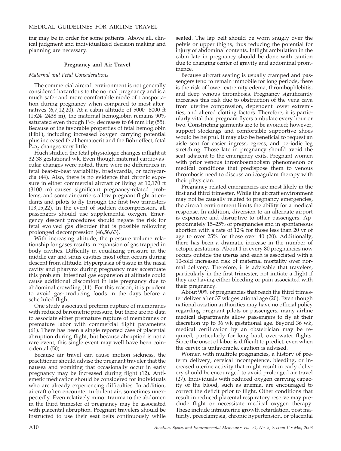ing may be in order for some patients. Above all, clinical judgment and individualized decision making and planning are necessary.

#### **Pregnancy and Air Travel**

#### *Maternal and Fetal Considerations*

The commercial aircraft environment is not generally considered hazardous to the normal pregnancy and is a much safer and more comfortable mode of transportation during pregnancy when compared to most alternatives  $(6,7,12,20)$ . At a cabin altitude of 5000–8000 ft (1524–2438 m), the maternal hemoglobin remains 90% saturated even though  $P_{aO_2}$  decreases to 64 mm Hg (55). Because of the favorable properties of fetal hemoglobin (HbF), including increased oxygen carrying potential plus increased fetal hematocrit and the Bohr effect, fetal  $P_{aO_2}$  changes very little.

Huch studied the fetal physiologic changes inflight at 32-38 gestational wk. Even though maternal cardiovascular changes were noted, there were no differences in fetal beat-to-beat variability, bradycardia, or tachycardia (44). Also, there is no evidence that chronic exposure in either commercial aircraft or living at 10,170 ft (3100 m) causes significant pregnancy-related problems, and some air carriers allow pregnant flight attendants and pilots to fly through the first two trimesters (13,15,22). In the event of sudden decompression, all passengers should use supplemental oxygen. Emergency descent procedures should negate the risk for fetal evolved gas disorder that is possible following prolonged decompression (46,56,63).

With increasing altitude, the pressure volume relationship for gases results in expansion of gas trapped in body cavities. Difficulty in equalizing pressure in the middle ear and sinus cavities most often occurs during descent from altitude. Hyperplasia of tissue in the nasal cavity and pharynx during pregnancy may accentuate this problem. Intestinal gas expansion at altitude could cause additional discomfort in late pregnancy due to abdominal crowding (11). For this reason, it is prudent to avoid gas-producing foods in the days before a scheduled flight.

One study associated preterm rupture of membranes with reduced barometric pressure, but there are no data to associate either premature rupture of membranes or premature labor with commercial flight parameters (61). There has been a single reported case of placental abruption during flight, but because abruption is not a rare event, this single event may well have been coincidental (50).

Because air travel can cause motion sickness, the practitioner should advise the pregnant traveler that the nausea and vomiting that occasionally occur in early pregnancy may be increased during flight (12). Antiemetic medication should be considered for individuals who are already experiencing difficulties. In addition, aircraft often encounter turbulent air, sometimes unexpectedly. Even relatively minor trauma to the abdomen in the third trimester of pregnancy may be associated with placental abruption. Pregnant travelers should be instructed to use their seat belts continuously while

seated. The lap belt should be worn snugly over the pelvis or upper thighs, thus reducing the potential for injury of abdominal contents. Inflight ambulation in the cabin late in pregnancy should be done with caution due to changing center of gravity and abdominal prominence.

Because aircraft seating is usually cramped and passengers tend to remain immobile for long periods, there is the risk of lower extremity edema, thrombophlebitis, and deep venous thrombosis. Pregnancy significantly increases this risk due to obstruction of the vena cava from uterine compression, dependent lower extremities, and altered clotting factors. Therefore, it is particularly vital that pregnant flyers ambulate every hour or two. Constricting garments are to be avoided; however, support stockings and comfortable supportive shoes would be helpful. It may also be beneficial to request an aisle seat for easier ingress, egress, and periodic leg stretching. Those late in pregnancy should avoid the seat adjacent to the emergency exits. Pregnant women with prior venous thromboembolism phenomenon or medical conditions that predispose them to venous thrombosis need to discuss anticoagulant therapy with their physician.

Pregnancy-related emergencies are most likely in the first and third trimester. While the aircraft environment may not be causally related to pregnancy emergencies, the aircraft environment limits the ability for a medical response. In addition, diversion to an alternate airport is expensive and disruptive to other passengers. Approximately 15–25% of pregnancies end in spontaneous abortion with a rate of 12% for those less than 20 yr of age to over 25% for those over 40 (20). Additionally, there has been a dramatic increase in the number of ectopic gestations. About 1 in every 80 pregnancies now occurs outside the uterus and each is associated with a 10-fold increased risk of maternal mortality over normal delivery. Therefore, it is advisable that travelers, particularly in the first trimester, not initiate a flight if they are having either bleeding or pain associated with their pregnancy.

About 90% of pregnancies that reach the third trimester deliver after 37 wk gestational age (20). Even though national aviation authorities may have no official policy regarding pregnant pilots or passengers, many airline medical departments allow passengers to fly at their discretion up to 36 wk gestational age. Beyond 36 wk, medical certification by an obstetrician may be required, particularly for long haul, over-water flights. Since the onset of labor is difficult to predict, even when the cervix is unfavorable, caution is advised.

Women with multiple pregnancies, a history of preterm delivery, cervical incompetence, bleeding, or increased uterine activity that might result in early delivery should be encouraged to avoid prolonged air travel (27). Individuals with reduced oxygen carrying capacity of the blood, such as anemia, are encouraged to correct the deficit prior to flight. Other conditions that result in reduced placental respiratory reserve may preclude flight or necessitate medical oxygen therapy. These include intrauterine growth retardation, post maturity, preeclampsia, chronic hypertension, or placental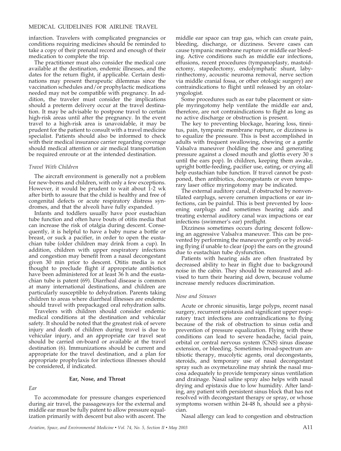infarction. Travelers with complicated pregnancies or conditions requiring medicines should be reminded to take a copy of their prenatal record and enough of their medication to complete the trip.

The practitioner must also consider the medical care available at the destination, endemic illnesses, and the dates for the return flight, if applicable. Certain destinations may present therapeutic dilemmas since the vaccination schedules and/or prophylactic medications needed may not be compatible with pregnancy. In addition, the traveler must consider the implications should a preterm delivery occur at the travel destination. It may be advisable to postpone travel to certain high-risk areas until after the pregnancy. In the event travel to a high-risk area is unavoidable, it may be prudent for the patient to consult with a travel medicine specialist. Patients should also be informed to check with their medical insurance carrier regarding coverage should medical attention or air medical transportation be required enroute or at the intended destination.

#### *Travel With Children*

The aircraft environment is generally not a problem for new-borns and children, with only a few exceptions. However, it would be prudent to wait about 1-2 wk after birth to assure that the child is healthy and free of congenital defects or acute respiratory distress syndromes, and that the alveoli have fully expanded.

Infants and toddlers usually have poor eustachian tube function and often have bouts of otitis media that can increase the risk of otalgia during descent. Consequently, it is helpful to have a baby nurse a bottle or breast, or suck a pacifier, in order to open the eustachian tube (older children may drink from a cup). In addition, children with upper respiratory infections and congestion may benefit from a nasal decongestant given 30 min prior to descent. Otitis media is not thought to preclude flight if appropriate antibiotics have been administered for at least 36 h and the eustachian tube is patent (69). Diarrheal disease is common at many international destinations, and children are particularly susceptible to dehydration. Parents taking children to areas where diarrheal illnesses are endemic should travel with prepackaged oral rehydration salts.

Travelers with children should consider endemic medical conditions at the destination and vehicular safety. It should be noted that the greatest risk of severe injury and death of children during travel is due to vehicular injury, and an appropriate car travel seat should be carried on-board or available at the travel destination (6). Immunizations should be current and appropriate for the travel destination, and a plan for appropriate prophylaxis for infectious illnesses should be considered, if indicated.

#### **Ear, Nose, and Throat**

#### *Ear*

To accommodate for pressure changes experienced during air travel, the passageways for the external and middle ear must be fully patent to allow pressure equalization primarily with descent but also with ascent. The middle ear space can trap gas, which can create pain, bleeding, discharge, or dizziness. Severe cases can cause tympanic membrane rupture or middle ear bleeding. Active conditions such as middle ear infections, effusions, recent procedures (tympanoplasty, mastoidectomy, stapedectomy, endolymphatic shunt, labyrinthectomy, acoustic neuroma removal, nerve section via middle cranial fossa, or other otologic surgery) are contraindications to flight until released by an otolaryngologist.

Some procedures such as ear tube placement or simple myringotomy help ventilate the middle ear and, therefore, are not contraindications to flight as long as no active discharge or obstruction is present.

The key to preventing blockage, hearing loss, tinnitus, pain, tympanic membrane rupture, or dizziness is to equalize the pressure. This is best accomplished in adults with frequent swallowing, chewing or a gentle Valsalva maneuver (holding the nose and generating pressure against a closed mouth and glottis every 30 s until the ears pop). In children, keeping them awake, upright bottle-feeding, pacifier use, eating, or crying all help eustachian tube function. If travel cannot be postponed, then antibiotics, decongestants or even temporary laser office myringotomy may be indicated.

The external auditory canal, if obstructed by nonventilated earplugs, severe cerumen impactions or ear infections, can be painful. This is best prevented by loosening earplugs and sometimes hearing aids and treating external auditory canal wax impactions or ear infections (swimmer's ear) preflight.

Dizziness sometimes occurs during descent following an aggressive Valsalva maneuver. This can be prevented by performing the maneuver gently or by avoiding flying if unable to clear (pop) the ears on the ground due to eustachian tube dysfunction.

Patients with hearing aids are often frustrated by decreased ability to hear in flight due to background noise in the cabin. They should be reassured and advised to turn their hearing aid down, because volume increase merely reduces discrimination.

#### *Nose and Sinuses*

Acute or chronic sinusitis, large polyps, recent nasal surgery, recurrent epistaxis and significant upper respiratory tract infections are contraindications to flying because of the risk of obstruction to sinus ostia and prevention of pressure equalization. Flying with these conditions can lead to severe headache, facial pain, orbital or central nervous system (CNS) sinus disease extension, or bleeding. Sometimes broad-spectrum antibiotic therapy, mucolytic agents, oral decongestants, steroids, and temporary use of nasal decongestant spray such as oxymetazoline may shrink the nasal mucosa adequately to provide temporary sinus ventilation and drainage. Nasal saline spray also helps with nasal drying and epistaxis due to low humidity. After landing, any patient with persistent sinus block that has not resolved with decongestant therapy or spray, or whose symptoms worsen within 24-48 h, should see a physician.

Nasal allergy can lead to congestion and obstruction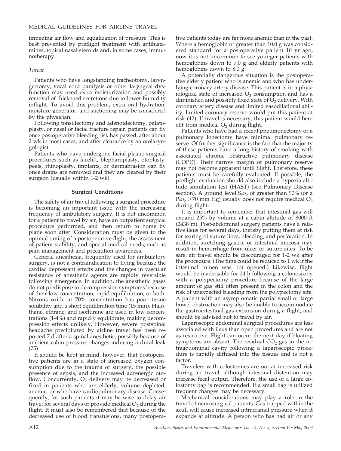impeding air flow and equalization of pressure. This is best prevented by preflight treatment with antihistamines, topical nasal steroids and, in some cases, immunotherapy.

#### *Throat*

Patients who have longstanding tracheotomy, laryngectomy, vocal cord paralysis or other laryngeal dysfunction may need extra moisturization and possibly removal of thickened secretions due to lower humidity inflight. To avoid this problem, extra oral hydration, moisture generator, and suctioning may be considered by the physician.

Following tonsillectomy and adenoidectomy, palatoplasty, or nasal or facial fracture repair, patients can fly once postoperative bleeding risk has passed, after about 2 wk in most cases, and after clearance by an otolaryngologist.

Patients who have undergone facial plastic surgical procedures such as facelift, blepharoplasty, otoplasty, peels, rhinoplasty, implants, or dermabrasion can fly once drains are removed and they are cleared by their surgeon (usually within 1-2 wk).

#### **Surgical Conditions**

The safety of air travel following a surgical procedure is becoming an important issue with the increasing frequency of ambulatory surgery. It is not uncommon for a patient to travel by air, have an outpatient surgical procedure performed, and then return to home by plane soon after. Consideration must be given to the optimal timing of a postoperative flight, the assessment of patient stability, and special medical needs, such as pain management and precaution awareness.

General anesthesia, frequently used for ambulatory surgery, is not a contraindication to flying because the cardiac depressant effects and the changes in vascular resistance of anesthetic agents are rapidly reversible following emergence. In addition, the anesthetic gases do not predispose to decompression symptoms because of their low concentration, rapid equilibration, or both. Nitrous oxide at 70% concentration has poor tissue solubility and a short equilibration time (15 min). Halothane, ethrane, and isoflurane are used in low concentrations (1-4%) and rapidly equilibrate, making decompression effects unlikely. However, severe postspinal headache precipitated by airline travel has been reported 7 d after a spinal anesthetic, possibly because of ambient cabin pressure changes inducing a dural leak (75).

It should be kept in mind, however, that postoperative patients are in a state of increased oxygen consumption due to the trauma of surgery, the possible presence of sepsis, and the increased adrenergic outflow. Concurrently,  $O_2$  delivery may be decreased or fixed in patients who are elderly, volume depleted, anemic, or who have cardiopulmonary disease. Consequently, for such patients it may be wise to delay air travel for several days or provide medical  $O_2$  during the flight. It must also be remembered that because of the decreased use of blood transfusions, many postoperative patients today are far more anemic than in the past. Where a hemoglobin of greater than 10.0 g was considered standard for a postoperative patient 10 yr ago, now it is not uncommon to see younger patients with hemoglobins down to 7.0 g and elderly patients with hemoglobins down to 8.0 g.

A potentially dangerous situation is the postoperative elderly patient who is anemic and who has underlying coronary artery disease. This patient is in a physiological state of increased  $O<sub>2</sub>$  consumption and has a diminished and possibly fixed state of  $O<sub>2</sub>$  delivery. With coronary artery disease and limited vasodilational ability, limited coronary reserve would put this patient at risk (42). If travel is necessary, this patient would benefit from medical  $O<sub>2</sub>$  during flight.

Patients who have had a recent pneumonectomy or a pulmonary lobectomy have minimal pulmonary reserve. Of further significance is the fact that the majority of these patients have a long history of smoking with associated chronic obstructive pulmonary disease (COPD). Their narrow margin of pulmonary reserve may not become apparent until flight. Therefore, these patients must be carefully evaluated. If possible, the preflight evaluation should also include a hypoxia altitude simulation test (HAST) (see Pulmonary Disease section). A ground level  $S_{aO_2}$  of greater than 90% (or a  $P_{aO_2}$  >70 mm Hg) usually does not require medical  $O_2$ during flight.

It is important to remember that intestinal gas will expand 25% by volume at a cabin altitude of 8000 ft (2438 m). Post-abdominal surgery patients have a relative ileus for several days, thereby putting them at risk for tearing of suture lines, bleeding, and perforation. In addition, stretching gastric or intestinal mucosa may result in hemorrhage from ulcer or suture sites. To be safe, air travel should be discouraged for 1-2 wk after the procedure. (The time could be reduced to 1 wk if the intestinal lumen was not opened.) Likewise, flight would be inadvisable for 24 h following a colonoscopy with a polypectomy procedure because of the large amount of gas still often present in the colon and the risk of unexpected bleeding from the polypectomy site. A patient with an asymptomatic partial small or large bowel obstruction may also be unable to accommodate the gastrointestinal gas expansion during a flight, and should be advised not to travel by air.

Laparoscopic abdominal surgical procedures are less associated with ileus than open procedures and are not as restrictive. Flight can occur the next day if bloating symptoms are absent. The residual  $CO<sub>2</sub>$  gas in the intraabdominal cavity following a laparoscopic procedure is rapidly diffused into the tissues and is not a factor.

Travelers with colostomies are not at increased risk during air travel, although intestinal distention may increase fecal output. Therefore, the use of a large colostomy bag is recommended. If a small bag is utilized frequent changes may be necessary.

Mechanical considerations may play a role in the travel of neurosurgical patients. Gas trapped within the skull will cause increased intracranial pressure when it expands at altitude. A person who has had air or any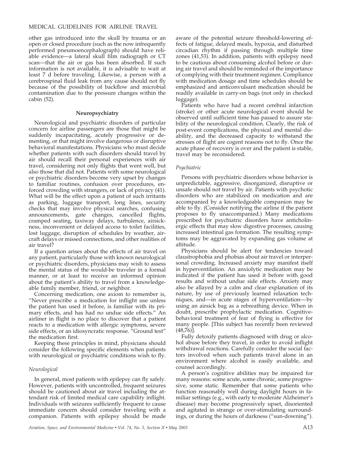other gas introduced into the skull by trauma or an open or closed procedure (such as the now infrequently performed pneumoencephalograph) should have reliable evidence—a lateral skull film radiograph or CT scan—that the air or gas has been absorbed. If such information is not available, it is advisable to wait at least 7 d before traveling. Likewise, a person with a cerebrospinal fluid leak from any cause should not fly because of the possibility of backflow and microbial contamination due to the pressure changes within the cabin (52).

#### **Neuropsychiatry**

Neurological and psychiatric disorders of particular concern for airline passengers are those that might be suddenly incapacitating, acutely progressive or dementing, or that might involve dangerous or disruptive behavioral manifestations. Physicians who must decide whether patients with such disorders should travel by air should recall their personal experiences with air travel, considering not only flights that went well, but also those that did not. Patients with some neurological or psychiatric disorders become very upset by changes to familiar routines, confusion over procedures, enforced crowding with strangers, or lack of privacy (41). What will be the effect upon a patient of such irritants as parking, luggage transport, long lines, security checks that may involve physical searches, confusing announcements, gate changes, cancelled flights, cramped seating, taxiway delays, turbulence, airsickness, inconvenient or delayed access to toilet facilities, lost luggage, disruption of schedules by weather, aircraft delays or missed connections, and other realities of air travel?

If a question arises about the effects of air travel on any patient, particularly those with known neurological or psychiatric disorders, physicians may wish to assess the mental status of the would-be traveler in a formal manner, or at least to receive an informed opinion about the patient's ability to travel from a knowledgeable family member, friend, or neighbor.

Concerning medication, one axiom to remember is, "Never prescribe a medication for inflight use unless the patient has used it before, is familiar with its primary effects, and has had no undue side effects." An airliner in flight is no place to discover that a patient reacts to a medication with allergic symptoms, severe side effects, or an idiosyncratic response. "Ground test" the medication first.

Keeping these principles in mind, physicians should consider the following specific elements when patients with neurological or psychiatric conditions wish to fly.

#### *Neurological*

In general, most patients with epilepsy can fly safely. However, patients with uncontrolled, frequent seizures should be cautioned about air travel including the attendant risk of limited medical care capability inflight. Individuals with seizures sufficiently frequent to cause immediate concern should consider traveling with a companion. Patients with epilepsy should be made aware of the potential seizure threshold-lowering effects of fatigue, delayed meals, hypoxia, and disturbed circadian rhythm if passing through multiple time zones (41,53). In addition, patients with epilepsy need to be cautious about consuming alcohol before or during air travel and should be reminded of the importance of complying with their treatment regimen. Compliance with medication dosage and time schedules should be emphasized and anticonvulsant medication should be readily available in carry-on bags (not only in checked luggage).

Patients who have had a recent cerebral infarction (stroke) or other acute neurological event should be observed until sufficient time has passed to assure stability of the neurological condition. Clearly, the risk of post-event complications, the physical and mental disability, and the decreased capacity to withstand the stresses of flight are cogent reasons not to fly. Once the acute phase of recovery is over and the patient is stable, travel may be reconsidered.

#### *Psychiatric*

Persons with psychiatric disorders whose behavior is unpredictable, aggressive, disorganized, disruptive or unsafe should not travel by air. Patients with psychotic disorders who are stabilized on medication and are accompanied by a knowledgeable companion may be able to fly. (Consider notifying the airline if the patient proposes to fly unaccompanied.) Many medications prescribed for psychiatric disorders have anticholinergic effects that may slow digestive processes, causing increased intestinal gas formation. The resulting symptoms may be aggravated by expanding gas volume at altitude.

Physicians should be alert for tendencies toward claustrophobia and phobias about air travel or interpersonal crowding. Increased anxiety may manifest itself in hyperventilation. An anxiolytic medication may be indicated if the patient has used it before with good results and without undue side effects. Anxiety may also be allayed by a calm and clear explanation of its nature, by use of previously learned relaxation techniques, and—in acute stages of hyperventilation—by using an airsick bag as a rebreathing device. When in doubt, prescribe prophylactic medication. Cognitivebehavioral treatment of fear of flying is effective for many people. [This subject has recently been reviewed  $(48,76)$ ].

Fully detoxify patients diagnosed with drug or alcohol abuse before they travel, in order to avoid inflight withdrawal reactions. Carefully consider the social factors involved when such patients travel alone in an environment where alcohol is easily available, and counsel accordingly.

A person's cognitive abilities may be impaired for many reasons: some acute, some chronic, some progressive, some static. Remember that some patients who function reasonably well during daylight hours in familiar settings (e.g., with early to moderate Alzheimer's disease) may become progressively upset, disoriented and agitated in strange or over-stimulating surroundings, or during the hours of darkness ("sun-downing").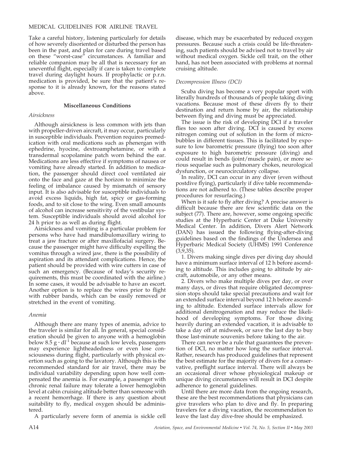Take a careful history, listening particularly for details of how severely disoriented or disturbed the person has been in the past, and plan for care during travel based on these "worst-case" circumstances. A familiar and reliable companion may be all that is necessary for an uneventful flight, especially if care is taken to complete travel during daylight hours. If prophylactic or p.r.n. medication is provided, be sure that the patient's response to it is already known, for the reasons stated above.

#### **Miscellaneous Conditions**

#### *Airsickness*

Although airsickness is less common with jets than with propeller-driven aircraft, it may occur, particularly in susceptible individuals. Prevention requires premedication with oral medications such as phenergan with ephedrine, hyocine, dextroamphetamine, or with a transdermal scopolamine patch worn behind the ear. Medications are less effective if symptoms of nausea or vomiting have already started. In addition to medication, the passenger should direct cool ventilated air onto the face and gaze at the horizon to minimize the feeling of imbalance caused by mismatch of sensory input. It is also advisable for susceptible individuals to avoid excess liquids, high fat, spicy or gas-forming foods, and to sit close to the wing. Even small amounts of alcohol can increase sensitivity of the vestibular system. Susceptible individuals should avoid alcohol for 24 h prior to as well as during flight.

Airsickness and vomiting is a particular problem for persons who have had mandibulomaxillary wiring to treat a jaw fracture or after maxillofacial surgery. Because the passenger might have difficulty expelling the vomitus through a wired jaw, there is the possibility of aspiration and its attendant complications. Hence, the patient should be provided with wire cutters in case of such an emergency. (Because of today's security requirements, this must be coordinated with the airline.) In some cases, it would be advisable to have an escort. Another option is to replace the wires prior to flight with rubber bands, which can be easily removed or stretched in the event of vomiting.

#### *Anemia*

Although there are many types of anemia, advice to the traveler is similar for all. In general, special consideration should be given to anyone with a hemoglobin below 8.5  $g \cdot dl^{-1}$  because at such low levels, passengers may experience lightheadedness or even lose consciousness during flight, particularly with physical exertion such as going to the lavatory. Although this is the recommended standard for air travel, there may be individual variability depending upon how well compensated the anemia is. For example, a passenger with chronic renal failure may tolerate a lower hemoglobin level at cabin cruising altitude better than someone with a recent hemorrhage. If there is any question about suitability to fly, medical oxygen should be administered.

A particularly severe form of anemia is sickle cell

disease, which may be exacerbated by reduced oxygen pressures. Because such a crisis could be life-threatening, such patients should be advised not to travel by air without medical oxygen. Sickle cell trait, on the other hand, has not been associated with problems at normal cruising altitude.

#### *Decompression Illness (DCI)*

Scuba diving has become a very popular sport with literally hundreds of thousands of people taking diving vacations. Because most of these divers fly to their destination and return home by air, the relationship between flying and diving must be appreciated.

The issue is the risk of developing DCI if a traveler flies too soon after diving. DCI is caused by excess nitrogen coming out of solution in the form of microbubbles in different tissues. This is facilitated by exposure to low barometric pressure (flying) too soon after exposure to high barometric pressure (diving) and could result in bends (joint/muscle pain), or more serious sequelae such as pulmonary chokes, neurological dysfunction, or neurocirculatory collapse.

In reality, DCI can occur in any diver (even without postdive flying), particularly if dive table recommendations are not adhered to. (These tables describe proper procedures for resurfacing.)

When is it safe to fly after diving? A precise answer is difficult because there are few scientific data on the subject (77). There are, however, some ongoing specific studies at the Hyperbaric Center at Duke University Medical Center. In addition, Divers Alert Network (DAN) has issued the following flying-after-diving guidelines based on the findings of the Undersea and Hyperbaric Medical Society (UHMS) 1991 Conference (3,9,35).

1. Divers making single dives per diving day should have a minimum surface interval of 12 h before ascending to altitude. This includes going to altitude by aircraft, automobile, or any other means.

2. Divers who make multiple dives per day, or over many days, or dives that require obligated decompression stops should take special precautions and wait for an extended surface interval beyond 12 h before ascending to altitude. Extended surface intervals allow for additional denitrogenation and may reduce the likelihood of developing symptoms. For those diving heavily during an extended vacation, it is advisable to take a day off at midweek, or save the last day to buy those last-minute souvenirs before taking to the air.

There can never be a rule that guarantees the prevention of DCI, no matter how long the surface interval. Rather, research has produced guidelines that represent the best estimate for the majority of divers for a conservative, preflight surface interval. There will always be an occasional diver whose physiological makeup or unique diving circumstances will result in DCI despite adherence to general guidelines.

Until there are more data from the ongoing research, these are the best recommendations that physicians can give travelers who plan to dive and fly. In preparing travelers for a diving vacation, the recommendation to leave the last day dive-free should be emphasized.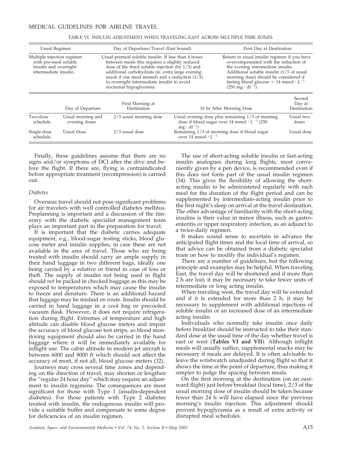| Usual Regimen<br>Multiple injection regimen<br>with pre-meal soluble<br>insulin and overnight<br>intermediate insulin. |                                    | Day of Departure/Travel (East bound)<br>Usual premeal soluble insulin. If less than 4 hours<br>between meals this requires a slightly reduced<br>dose of the third soluble injection (by $1/3$ ) and<br>additional carbohydrate (ie. extra large evening<br>snack if one meal missed) and a reduction $(1/\overline{3})$<br>in overnight intermediate insulin to avoid<br>nocturnal hypoglycemia. |                                                                                                                                         | First Day at Destination<br>Return to usual insulin regimen if you have<br>overcompensated with the reduction of<br>the evening intermediate insulin.<br>Additional soluble insulin (1/3 of usual<br>morning dose) should be considered if<br>fasting blood glucose $> 14$ mmol $\cdot L^{-1}$<br>$(250 \text{ mg} \cdot \text{dl}^{-1}).$ |                    |
|------------------------------------------------------------------------------------------------------------------------|------------------------------------|---------------------------------------------------------------------------------------------------------------------------------------------------------------------------------------------------------------------------------------------------------------------------------------------------------------------------------------------------------------------------------------------------|-----------------------------------------------------------------------------------------------------------------------------------------|--------------------------------------------------------------------------------------------------------------------------------------------------------------------------------------------------------------------------------------------------------------------------------------------------------------------------------------------|--------------------|
|                                                                                                                        |                                    |                                                                                                                                                                                                                                                                                                                                                                                                   |                                                                                                                                         |                                                                                                                                                                                                                                                                                                                                            |                    |
| Two-dose<br>schedule                                                                                                   | Usual morning and<br>evening doses | 2/3 usual morning dose                                                                                                                                                                                                                                                                                                                                                                            | Usual evening dose plus remaining 1/3 of morning<br>dose if blood sugar over 14 mmol $\cdot$ L <sup>-1</sup> (250<br>$mg \cdot dl^{-1}$ |                                                                                                                                                                                                                                                                                                                                            | Usual two<br>doses |
| Single-dose<br>schedule                                                                                                | Usual Dose                         | 2/3 usual dose                                                                                                                                                                                                                                                                                                                                                                                    | Remaining 1/3 of morning dose if blood sugar<br>over 14 mmol $\cdot L^{-1}$                                                             |                                                                                                                                                                                                                                                                                                                                            | Usual dose         |

TABLE VI. INSULIN ADJUSTMENT WHEN TRAVELING EAST ACROSS MULTIPLE TIME ZONES.

Finally, these guidelines assume that there are no signs and/or symptoms of DCI after the dive and before the flight. If there are, flying is contraindicated before appropriate treatment (recompression) is carried out.

#### *Diabetes*

Overseas travel should not pose significant problems for air travelers with well controlled diabetes mellitus. Preplanning is important and a discussion of the itinerary with the diabetic specialist management team plays an important part in the preparation for travel.

It is important that the diabetic carries adequate equipment, e.g., blood-sugar testing sticks, blood glucose meter and insulin supplies, in case these are not available in the area of travel. Those who are being treated with insulin should carry an ample supply in their hand luggage in two different bags, ideally one being carried by a relative or friend in case of loss or theft. The supply of insulin not being used in flight should *not* be packed in checked baggage as this may be exposed to temperatures which may cause the insulin to freeze and denature. There is an additional hazard that luggage may be mislaid en route. Insulin should be carried in hand luggage in a cool bag or precooled vacuum flask. However, it does not require refrigeration during flight. Extremes of temperature and high altitude can disable blood glucose meters and impair the accuracy of blood glucose test strips, so blood monitoring equipment should also be carried in the hand baggage where it will be immediately available for inflight use. The cabin altitude in modern jet aircraft is between 6000 and 8000 ft which should not affect the accuracy of most, if not all, blood glucose meters (32).

Journeys may cross several time zones and depending on the direction of travel, may shorten or lengthen the "regular 24 hour day" which may require an adjustment to insulin regimens. The consequences are most significant for those with Type 1 (insulin-dependent diabetes). For those patients with Type 2 diabetes treated with insulin, the endogenous insulin will provide a suitable buffer and compensate to some degree for deficiencies of an insulin regimen.

The use of short-acting soluble insulin or fast-acting insulin analogues during long flights, most conveniently given by a pen device, is recommended even if this does not form part of the usual insulin regimen (34). This gives the flexibility of allowing the shortacting insulin to be administered regularly with each meal for the duration of the flight period and can be supplemented by intermediate-acting insulin prior to the first night's sleep on arrival at the travel destination. The other advantage of familiarity with the short-acting insulins is their value in minor illness, such as gastroenteritis or upper respiratory infection, as an adjunct to a twice-daily regimen.

It makes sound sense to ascertain in advance the anticipated flight times and the local time of arrival, so that advice can be obtained from a diabetic specialist team on how to modify the individual's regimen.

There are a number of guidelines, but the following principle and examples may be helpful. When traveling East, the travel day will be shortened and if more than 2 h are lost, it may be necessary to take fewer units of intermediate or long acting insulin.

When traveling west, the travel day will be extended and if it is extended for more than 2 h, it may be necessary to supplement with additional injections of soluble insulin or an increased dose of an intermediate acting insulin.

Individuals who normally take insulin once daily before breakfast should be instructed to take their standard dose at the usual time of the day whether travel is east or west (**Tables VI and VII**). Although inflight meals will usually suffice, supplemental snacks may be necessary if meals are delayed. It is often advisable to leave the wristwatch unadjusted during flight so that it shows the time at the point of departure, thus making it simpler to judge the spacing between meals.

On the first morning at the destination (on an eastward flight) just before breakfast (local time), 2/3 of the usual morning dose of insulin should be taken because fewer than 24 h will have elapsed since the previous morning's insulin injection. This adjustment should prevent hypoglycemia as a result of extra activity or disrupted meal schedules.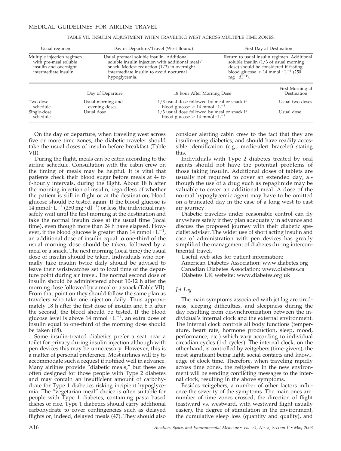| Usual regimen                                                                                         | Day of Departure/Travel (West Bound)<br>Usual premeal soluble insulin. Additional<br>soluble insulin injection with additional meal/<br>snack. Modest reduction $(1/3)$ in overnight<br>intermediate insulin to avoid nocturnal<br>hypoglycemia. |                                                                                                                                                                                    | First Day at Destination<br>Return to usual insulin regimen. Additional<br>soluble insulin $(1/3)$ of usual morning<br>dose) should be considered if fasting<br>blood glucose $> 14$ mmol $\cdot$ L <sup>-1</sup> (250)<br>$mg \cdot dl^{-1}$ ). |                                 |
|-------------------------------------------------------------------------------------------------------|--------------------------------------------------------------------------------------------------------------------------------------------------------------------------------------------------------------------------------------------------|------------------------------------------------------------------------------------------------------------------------------------------------------------------------------------|--------------------------------------------------------------------------------------------------------------------------------------------------------------------------------------------------------------------------------------------------|---------------------------------|
| Multiple injection regimen<br>with pre-meal soluble<br>insulin and overnight<br>intermediate insulin. |                                                                                                                                                                                                                                                  |                                                                                                                                                                                    |                                                                                                                                                                                                                                                  |                                 |
|                                                                                                       | Day of Departure                                                                                                                                                                                                                                 | 18 hour After Morning Dose                                                                                                                                                         |                                                                                                                                                                                                                                                  | First Morning at<br>Destination |
| Two-dose<br>schedule<br>Single-dose<br>schedule                                                       | Usual morning and<br>evening doses<br>Usual dose                                                                                                                                                                                                 | 1/3 usual dose followed by meal or snack if<br>blood glucose $> 14$ mmol $\cdot L^{-1}$<br>1/3 usual dose followed by meal or snack if<br>blood glucose $> 14$ mmol $\cdot L^{-1}$ |                                                                                                                                                                                                                                                  | Usual two doses<br>Usual dose   |

TABLE VII. INSULIN ADJUSTMENT WHEN TRAVELING WEST ACROSS MULTIPLE TIME ZONES.

On the day of departure, when traveling west across five or more time zones, the diabetic traveler should take the usual doses of insulin before breakfast (Table VII).

During the flight, meals can be eaten according to the airline schedule. Consultation with the cabin crew on the timing of meals may be helpful. It is vital that patients check their blood sugar before meals at 4- to 6-hourly intervals, during the flight. About 18 h after the morning injection of insulin, regardless of whether the patient is still in flight or at the destination, blood glucose should be tested again. If the blood glucose is  $14$  mmol·L<sup>-1</sup> (250 mg·dl<sup>-Y</sup>) or less, the individual may safely wait until the first morning at the destination and take the normal insulin dose at the usual time (local time), even though more than 24 h have elapsed. However, if the blood glucose is greater than 14 mmol  $\cdot$  L<sup>-1</sup>, an additional dose of insulin equal to one-third of the usual morning dose should be taken, followed by a meal or a snack. The next morning (local time) the usual dose of insulin should be taken. Individuals who normally take insulin twice daily should be advised to leave their wristwatches set to local time of the departure point during air travel. The normal second dose of insulin should be administered about 10-12 h after the morning dose followed by a meal or a snack (Table VII). From that point on they should follow the same plan as travelers who take one injection daily. Thus approximately 18 h after the first dose of insulin and 6 h after the second, the blood should be tested. If the blood glucose level is above 14 mmol  $\cdot L^{-1}$ , an extra dose of insulin equal to one-third of the morning dose should be taken (68).

Some insulin-treated diabetics prefer a seat near a toilet for privacy during insulin injection although with pen devices this may be unnecessary. However, this is a matter of personal preference. Most airlines will try to accommodate such a request if notified well in advance. Many airlines provide "diabetic meals," but these are often designed for those people with Type 2 diabetes and may contain an insufficient amount of carbohydrate for Type 1 diabetics risking incipient hypoglycemia. The "vegetarian meal" choice is often suitable for people with Type 1 diabetes, containing pasta based dishes or rice. Type 1 diabetics should carry additional carbohydrate to cover contingencies such as delayed flights or, indeed, delayed meals (47). They should also

consider alerting cabin crew to the fact that they are insulin-using diabetics, and should have readily accessible identification (e.g., medic-alert bracelet) stating this.

Individuals with Type 2 diabetes treated by oral agents should not have the potential problems of those taking insulin. Additional doses of tablets are usually not required to cover an extended day, although the use of a drug such as repaglinide may be valuable to cover an additional meal. A dose of the normal hypoglycemic agent may have to be omitted on a truncated day in the case of a long west-to-east air journey.

Diabetic travelers under reasonable control can fly anywhere safely if they plan adequately in advance and discuss the proposed journey with their diabetic specialist adviser. The wider use of short acting insulin and ease of administration with pen devices has greatly simplified the management of diabetes during intercontinental travel.

Useful web-sites for patient information: American Diabetes Association: www.diabetes.org Canadian Diabetes Association: www.diabetes.ca Diabetes UK website: www.diabetes.org.uk

#### *Jet Lag*

The main symptoms associated with jet lag are tiredness, sleeping difficulties, and sleepiness during the day resulting from desynchronization between the individual's internal clock and the external environment. The internal clock controls all body functions (temperature, heart rate, hormone production, sleep, mood, performance, etc.) which vary according to individual circadian cycles (1-d cycles). The internal clock, on the other hand, is controlled by zeitgebers (time-givers), the most significant being light, social contacts and knowledge of clock time. Therefore, when traveling rapidly across time zones, the zeitgebers in the new environment will be sending conflicting messages to the internal clock, resulting in the above symptoms.

Besides zeitgebers, a number of other factors influence the severity of the symptoms. The main ones are: number of time zones crossed, the direction of flight (eastward vs. westward, with westward flight usually easier), the degree of stimulation in the environment, the cumulative sleep loss (quantity and quality), and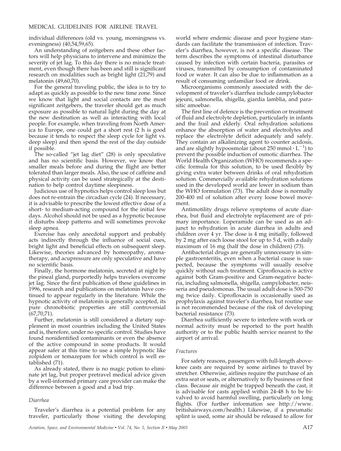individual differences (old vs. young, morningness vs. eveningness) (40,54,59,65).

An understanding of zeitgebers and these other factors will help physicians to intervene and minimize the severity of jet lag. To this day there is no miracle treatment, even though there has been and still is significant research on modalities such as bright light (21,79) and melatonin (49,60,70).

For the general traveling public, the idea is to try to adapt as quickly as possible to the new time zone. Since we know that light and social contacts are the most significant zeitgebers, the traveler should get as much exposure as possible to natural light during the day at the new destination as well as interacting with local people. For example, when traveling from North America to Europe, one could get a short rest (2 h is good because it tends to respect the sleep cycle for light vs. deep sleep) and then spend the rest of the day outside if possible.

The so-called "jet lag diet" (28) is only speculative and has no scientific basis. However, we know that smaller meals before and during the flight are better tolerated than larger meals. Also, the use of caffeine and physical activity can be used strategically at the destination to help control daytime sleepiness.

Judicious use of hypnotics helps control sleep loss but does not re-entrain the circadian cycle (24). If necessary, it is advisable to prescribe the lowest effective dose of a short- to medium-acting compound for the initial few days. Alcohol should not be used as a hypnotic because it disturbs sleep patterns and will sometimes provoke sleep apnea.

Exercise has only anecdotal support and probably acts indirectly through the influence of social cues, bright light and beneficial effects on subsequent sleep. Likewise, theories advanced by homeopathy, aromatherapy, and acupressure are only speculative and have no scientific basis.

Finally, the hormone melatonin, secreted at night by the pineal gland, purportedly helps travelers overcome jet lag. Since the first publication of these guidelines in 1996, research and publications on melatonin have continued to appear regularly in the literature. While the hypnotic activity of melatonin is generally accepted, its pure chronobiotic properties are still controversial  $(67,70,71)$ .

Further, melatonin is still considered a dietary supplement in most countries including the United States and is, therefore, under no specific control. Studies have found nonidentified contaminants or even the absence of the active compound in some products. It would appear safer at this time to use a simple hypnotic like zolpidem or temazepam for which control is well established (71).

As already stated, there is no magic potion to eliminate jet lag, but proper pretravel medical advice given by a well-informed primary care provider can make the difference between a good and a bad trip.

#### *Diarrhea*

Traveler's diarrhea is a potential problem for any traveler, particularly those visiting the developing world where endemic disease and poor hygiene standards can facilitate the transmission of infection. Traveler's diarrhea, however, is not a specific disease. The term describes the symptoms of intestinal disturbance caused by infection with certain bacteria, parasites or viruses, transmitted by consumption of contaminated food or water. It can also be due to inflammation as a result of consuming unfamiliar food or drink.

Microorganisms commonly associated with the development of traveler's diarrhea include campylobacter jejeuni, salmonella, shigella, giardia lamblia, and parasitic amoebae.

The first line of defence is the prevention or treatment of fluid and electrolyte depletion, particularly in infants and the frail and elderly. Oral rehydration solutions enhance the absorption of water and electrolytes and replace the electrolyte deficit adequately and safely. They contain an alkalinizing agent to counter acidosis, and are slightly hypoosmolar (about 250 mmol  $\cdot$  L<sup>-1</sup>) to prevent the possible induction of osmotic diarrhea. The World Health Organization (WHO) recommends a specific formula for this solution, to be used flexibly by giving extra water between drinks of oral rehydration solution. Commercially available rehydration solutions used in the developed world are lower in sodium than the WHO formulation (73). The adult dose is normally 200-400 ml of solution after every loose bowel movement.

Antimotility drugs relieve symptoms of acute diarrhea, but fluid and electrolyte replacement are of primary importance. Loperamide can be used as an adjunct to rehydration in acute diarrhea in adults and children over 4 yr. The dose is 4 mg initially, followed by 2 mg after each loose stool for up to 5 d, with a daily maximum of 16 mg (half the dose in children) (73).

Antibacterial drugs are generally unnecessary in simple gastroenteritis, even when a bacterial cause is suspected, because the symptoms will usually resolve quickly without such treatment. Ciprofloxacin is active against both Gram-positive and Gram-negative bacteria, including salmonella, shigella, campylobacter, neisseria and pseudomonas. The usual adult dose is 500-750 mg twice daily. Ciprofloxacin is occasionally used as prophylaxis against traveler's diarrhea, but routine use is not recommended because of the risk of developing bacterial resistance (73).

Diarrhea sufficiently severe to interfere with work or normal activity must be reported to the port health authority or to the public health service nearest to the airport of arrival.

#### *Fractures*

For safety reasons, passengers with full-length aboveknee casts are required by some airlines to travel by stretcher. Otherwise, airlines require the purchase of an extra seat or seats, or alternatively to fly business or first class. Because air might be trapped beneath the cast, it is advisable for casts applied within 24-48 h to be bivalved to avoid harmful swelling, particularly on long flights. (For further information see http://www. britishairways.com/health.) Likewise, if a pneumatic splint is used, some air should be released to allow for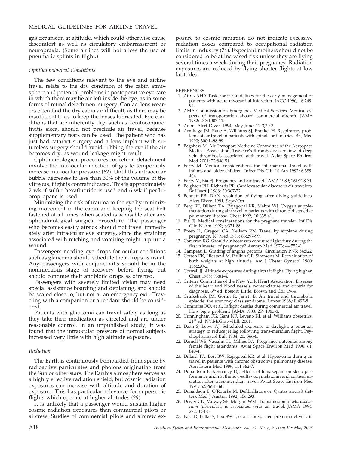gas expansion at altitude, which could otherwise cause discomfort as well as circulatory embarrassment or neuropraxia. (Some airlines will not allow the use of pneumatic splints in flight.)

#### *Ophthalmological Conditions*

The few conditions relevant to the eye and airline travel relate to the dry condition of the cabin atmosphere and potential problems in postoperative eye care in which there may be air left inside the eye, as in some forms of retinal detachment surgery. Contact lens wearers often find the dry cabin air difficult, as there may be insufficient tears to keep the lenses lubricated. Eye conditions that are inherently dry, such as keratoconjunctivitis sicca, should not preclude air travel, because supplementary tears can be used. The patient who has just had cataract surgery and a lens implant with sutureless surgery should avoid rubbing the eye if the air becomes dry, as wound leakage might result.

Ophthalmological procedures for retinal detachment involve the intraocular injection of gas to temporarily increase intraocular pressure (62). Until this intraocular bubble decreases to less than 30% of the volume of the vitreous, flight is contraindicated. This is approximately 2 wk if sulfur hexafluoride is used and 6 wk if perfluoropropane is used.

Minimizing the risk of trauma to the eye by minimizing movement in the cabin and keeping the seat belt fastened at all times when seated is advisable after any ophthalmological surgical procedure. The passenger who becomes easily airsick should not travel immediately after intraocular eye surgery, since the straining associated with retching and vomiting might rupture a wound.

Passengers needing eye drops for ocular conditions such as glaucoma should schedule their drops as usual. Any passengers with conjunctivitis should be in the noninfectious stage of recovery before flying, but should continue their antibiotic drops as directed.

Passengers with severely limited vision may need special assistance boarding and deplaning, and should be seated close to, but not at an emergency exit. Traveling with a companion or attendant should be considered.

Patients with glaucoma can travel safely as long as they take their medication as directed and are under reasonable control. In an unpublished study, it was found that the intraocular pressure of normal subjects increased very little with high altitude exposure.

#### *Radiation*

The Earth is continuously bombarded from space by radioactive particulates and photons originating from the Sun or other stars. The Earth's atmosphere serves as a highly effective radiation shield, but cosmic radiation exposures can increase with altitude and duration of exposure. This has particular relevance for supersonic flights which operate at higher altitudes (29).

It is unlikely that a passenger would sustain higher cosmic radiation exposures than commercial pilots or aircrew. Studies of commercial pilots and aircrew exposure to cosmic radiation do not indicate excessive radiation doses compared to occupational radiation limits in industry (74). Expectant mothers should not be considered to be at increased risk unless they are flying several times a week during their pregnancy. Radiation exposures are reduced by flying shorter flights at low latitudes.

#### **REFERENCES**

- 1. ACC/AHA Task Force. Guidelines for the early management of patients with acute myocardial infarction. JACC 1990; 16:249- 92.
- 2. AMA Commission on Emergency Medical Services. Medical aspects of transportation aboard commercial aircraft. JAMA 1982; 247:1007-11.
- 3. Anon. Alert Diver. 1994; May-June: 12-3,20-3.
- 4. Armitage JM, Pyne A, Williams SJ, Frankel H. Respiratory problems of air travel in patients with spinal cord injuries. Br J Med 1990; 300:1498-99.
- 5. Bagshaw M, Air Transport Medicine Committee of the Aerospace Medical Association. Traveler's thrombosis: a review of deep vein thrombosis associated with travel. Aviat Space Environ Med 2001; 72:848-51.
- 6. Barry M. Medical considerations for international travel with infants and older children. Infect Dis Clin N Am 1992; 6:389- 404.
- 7. Barry M, Bia FJ. Pregnancy and air travel. JAMA 1989; 261:728-31.
- 8. Beighton PH, Richards PR. Cardiovascular disease in air travelers. Br Heart J 1968; 30:367-72.
- 9. Bennett PB. DAN resolution of flying after diving guidelines. Alert Diver. 1991; Sept/Oct.
- 10. Berg BE, Dillard TA, Rajagopal KR, Mehm WJ. Oxygen supplementation during air travel in patients with chronic obstructive pulmonary disease. Chest 1992; 10:638-41.
- 11. Bia FJ. Medical considerations for the pregnant traveler. Inf Dis Clin N Am 1992; 6:371-88.
- 12. Breen JL, Gregori CA, Neilson RN. Travel by airplane during pregnancy. NJ Med 1986; 83:297-99.
- 13. Cameron RG. Should air hostesses continue flight duty during the first trimester of pregnancy? Aerosp Med 1973; 44:552-6.
- 14. Campeau L. Grading of angina pectoris. Circulation 1975; 54:522.
- 15. Cotton EK, Hiestand M, Philbin GE, Simmons M. Reevaluation of birth weights at high altitude. Am J Obstet Gynecol 1980; 138:220-2.
- 16. Cottrell JJ. Altitude exposures during aircraft flight. Flying higher. Chest 1988; 93:81-4.
- 17. Criteria Committee of the New York Heart Association. Diseases of the heart and blood vessels; nomenclature and criteria for diagnosis, 6<sup>th</sup> ed. Boston: Little, Brown and Co.; 1964.
- 18. Cruikshank JM, Gorlin R, Janett B. Air travel and thrombotic episode: the economy class syndrome. Lancet 1988/II:497-8.
- 19. Cummins RO, et al. Inflight deaths during commercial air travel. How big a problem? JAMA 1988; 259:1983-8.
- 20. Cunningham FG, Gant NF, Leveno KJ, et al. Williams obstetrics, 21st ed. NY:McGraw-Hill; 2001.
- 21. Daan S, Lewy AJ. Scheduled exposure to daylight; a potential strategy to reduce jet lag following trans-meridian flight. Psychopharmacol Bull 1984; 20: 566-8.
- 22. Daniell WE, Vaughn TL, Millies BA. Pregnancy outcomes among female flight attendants. Aviat Space Environ Med 1990; 61: 840-4.
- 23. Dillard TA, Bert BW, Rajagopal KR, et al. Hypoxemia during air travel in patients with chronic obstructive pulmonary disease. Ann Intern Med 1989; 111:362-7.
- 24. Donaldson E, Kennancy DJ. Effects of temazepam on sleep performance and rhythmic 6-sulfa-toxymelatonin and cortisol excretion after trans-meridian travel. Aviat Space Environ Med 1991; 62:P654–60.
- 25. Donaldson E, O'Rourke M. Defibrillators on Qantas aircraft (letter). Med J Austral 1992; 156:293.
- 26. Driver CD, Valway SE, Morgan WM. Transmission of *Mycobacterium tuberculosis* is associated with air travel. JAMA 1994; 272:1031-5.
- 27. Easa D, Pelke S, Loo SWH, et al. Unexpected preterm delivery in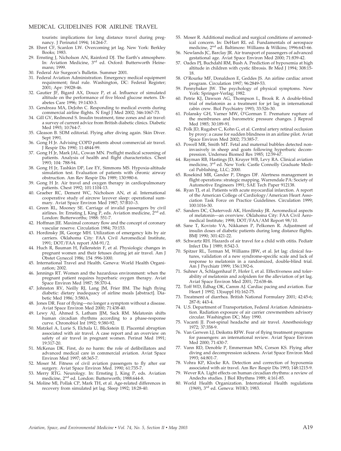tourists: implications for long distance travel during pregnancy. J Perinatol 1994; 14:264-7.

- 28. Ehret CF, Scanlon LW. Overcoming jet lag. New York: Berkley Books; 1983.
- 29. Ernsting J, Nicholson AN, Rainford DJ. The Earth's atmosphere. In: Aviation Medicine, 3rd ed. Oxford: Butterworth Heinemann; 1999.
- 30. Federal Air Surgeon's Bulletin. Summer 2001.
- 31. Federal Aviation Administration. Emergency medical equipment requirement; final rule. Washington, DC: Federal Register; 2001; Apr: 19028-46.
- 32. Gautier JF, Bigard AX, Douce P, et al. Influence of simulated altitude on the performance of five blood glucose meters. Diabetes Care 1996; 19:1430-3.
- 33. Gendreau MA, DeJohn C. Responding to medical events during commercial airline flights. N Engl J Med 2002; 346:1067-73.
- 34. Gill GV, Redmond S. Insulin treatment, time zones and air travel: a survey of current advice from British diabetic clinics. Diabetic Med 1993; 10:764-7.
- 35. Gleason B. SDM editorial. Flying after diving again. Skin Diver. Sept 1991.
- 36. Gong H Jr. Advising COPD patients about commercial air travel. J Respir Dis 1990; 11:4844-99.
- 37. Gong H Jr, Mark JAL, Cowan MN. Preflight medical screening of patients. Analysis of health and flight characteristics. Chest 1993; 104: 788-94.
- 38. Gong H Jr, Tashkin DP, Lee EY, Simmons MS. Hypoxia-altitude simulation test. Evaluation of patients with chronic airway obstruction. Am Rev Respir Dis 1989; 130:980-6.
- 39. Gong H Jr. Air travel and oxygen therapy in cardiopulmonary patients. Chest 1992; 101:1104-13.
- 40. Graeber RC, Dement WC, Nicholson AN, et al. International cooperative study of aircrew layover sleep: operational summary. Aviat Space Environ Med 1987; 57:B10–3.
- 41. Green RL, Mooney SE. Carriage of invalid passengers by civil airlines. In: Ernsting J, King P, eds. Aviation medicine, 2<sup>nd</sup> ed. London: Butterworths; 1988: 551-7.
- 42. Hoffman JIE. Maximal coronary flow and the concept of coronary vascular reserve. Circulation 1984; 70:153.
- 43. Hordinsky JR, George MH. Utilization of emergency kits by air carriers. Oklahoma City: FAA Civil Aeromedical Institute, 1991; DOT/FAA report AM-91/2.
- 44. Huch R, Bauman H, Fallenstein F, et al. Physiologic changes in pregnant women and their fetuses during jet air travel. Am J Obstet Gynecol 1986; 154 :996-1000.
- 45. International Travel and Health. Geneva: World Health Organization; 2002.
- 46. Jennings RT. Women and the hazardous environment: when the pregnant patient requires hyperbaric oxygen therapy. Aviat Space Environ Med 1987; 58:370-4.
- 47. Johnston RV, Neilly RJ, Lang JM, Frier BM. The high flying diabetic: dietary inadequacy of airline meals [abstract]. Diabetic Med 1986; 3:580A.
- 48. Jones DR. Fear of flying—no longer a symptom without a disease. Aviat Space Environ Med 2000; 71:438-40.
- 49. Lewy AJ, Ahmed S, Latham JJM, Sack RM. Melatonin shifts human circadian rhythms according to a phase-response curve. Chronobiol Int 1992; 9:380-92.
- 50. Matzkel A, Lurie S, Elchala U, Blickstein IJ. Placental abruption associated with air travel. A case report and an overview on safety of air travel in pregnant women. Perinat Med 1991; 19:317-20.
- 51. McKenas DK. First, do no harm: the role of defibrillators and advanced medical care in commercial aviation. Aviat Space Environ Med 1997; 68:365-7.
- 52. Moser M. Fitness of civil aviation passengers to fly after ear surgery. Aviat Space Environ Med. 1990; 61:735-7.
- 53. Merry RTG. Neurology. In: Ernsting J, King P, eds. Aviation medicine, 2<sup>nd</sup> ed. London: Butterworth; 1988:644-8.
- 54. Moline Ml, Pollak CP, Mark TH, et al. Age-related differences in recovery from simulated jet lag. Sleep 1992; 18:28-40.
- 55. Moser R. Additional medical and surgical conditions of aeromedical concern. In: DeHart RL ed. Fundamentals of aerospace medicine, 2nd ed. Baltimore: Williams & Wilkins; 1996:643-66.
- 56. Newlands JC, Barclay JR. Air transport of passengers of advanced gestational age. Aviat Space Environ Med 2000; 71:839-42.
- 57. Oades PJ, Buchdahl RM, Bush A. Prediction of hypoxemia at high altitude in children with cystic fibrosis. Br Med J 1994; 308:15- 18.
- 58. O'Rourke MF, Donaldson E, Geddes JS. An airline cardiac arrest program. Circulation 1997; 96:2849-53.
- 59. Pennybaker JW. The psychology of physical symptoms. New York: Springer-Verlag; 1982.
- 60. Petrie KJ, Dawson AG, Thompson L, Brook R. A double-blind trial of melatonin as a treatment for jet lag in international cabin crew. Biol Psychiatry 1993; 33:526-30.
- 61. Polansky GH, Varner MW, O'Gorman T. Premature rupture of the membranes and barometric pressure changes. J Reprod Med 1985; 30:189-91.
- 62. Polk JD, Rugaber C, Kohn G, et al. Central artery retinal occlusion by proxy: a cause for sudden blindness in an airline pilot. Aviat Space Environ Med 2002; 73:385-7.
- 63. Powell MR, Smith MT. Fetal and maternal bubbles detected noninvasively in sheep and goats following hyperbaric decompression. Undersea Biomed Res 1985; 12:59-67.
- 64. Rayman RB, Hastings JD, Kruyer WB, Levy RA. Clinical aviation medicine, 3rd ed. New York: Castle Connolly Graduate Medical Publishing, LLC; 2000.
- 65. Rosekind MR, Gander P, Dinges DF. Alertness management in flight operations: strategic mapping. Warrendale PA: Society of Automotive Engineers 1991; SAE Tech Paper 912138.
- 66. Ryan TJ, et al. Patients with acute myocardial infarction. A report of the American College of Cardiology/American Heart Association Task Force on Practice Guidelines. Circulation 1999; 100:1016-30.
- 67. Sanders DC, Chatervedi AK, Hordinsky JR. Aeromedical aspects of melatonin—an overview. Oklahoma City: FAA Civil Aeromedical Institute; 1998; DOT/FAA/AM Report 98/10.
- 68. Sane T, Kovisto VA, Nikkanen P, Pelkonen R. Adjustment of insulin doses of diabetic patients during long distance flights. BMJ 1990; 301:421-22.
- 69. Schwartz RH. Hazards of air travel for a child with otitis. Pediatr Infect Dis J 1989; 8:542-3.
- 70. Spitzer RL, Terman M, Williams JBW, et al. Jet lag: clinical features, validation of a new syndrome-specific scale and lack of response to melatonin in a randomized, double-blind trial. Am J Psychiatr 1999; 156:1392-6.
- 71. Suhner A, Schlagenhauf P, Hofer I, et al. Effectiveness and tolerability of melatonin and zolpidem for the alleviation of jet lag. Aviat Space Environ Med 2001; 72:638-46.
- 72. Toff WD, Edhag OK, Camm AJ. Cardiac pacing and aviation. Eur Heart J 1992; 13(suppl H):162-75.
- 73. Treatment of diarrhea. British National Formulary 2001; 42:45-6; 287-8; 443-4.
- 74. U.S. Department of Transportation, Federal Aviation Administration. Radiation exposure of air carrier crewmembers advisory circular. Washington DC; May 1990.
- 75. Vacanti JJ. Post-spinal headache and air travel. Anesthesiology 1972; 37:358-9.
- 76. Van Gerwen LJ, Deikstra RFW. Fear of flying treatment programs for passengers: an international review. Aviat Space Environ Med 2000; 71:430-7.
- 77. Vann RD, Denoble P, Emmerman MN, Corson KS. Flying after diving and decompression sickness. Aviat Space Environ Med 1993; 64:801-7.
- 78. Vohra KP, Klocke RA. Detection and correction of hypoxemia associated with air travel. Am Rev Respir Dis 1993; 148:1215-9.
- 79. Wever RA. Light effects on human circadian rhythms: a review of Andechs studies. J Biol Rhythms 1989; 4:161-85.
- 80. World Health Organization. International Health regulations (1969), 3rd ed. Geneva: WHO; 1983.